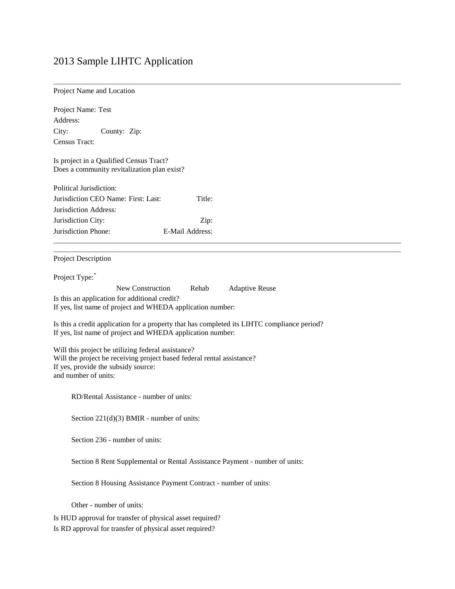# 2013 Sample LIHTC Application

| Project Name and Location |  |
|---------------------------|--|
|---------------------------|--|

| Project Name: Test                                                                          |  |  |  |  |
|---------------------------------------------------------------------------------------------|--|--|--|--|
| Address:                                                                                    |  |  |  |  |
| City:<br>County: Zip:                                                                       |  |  |  |  |
| Census Tract:                                                                               |  |  |  |  |
|                                                                                             |  |  |  |  |
| Is project in a Qualified Census Tract?                                                     |  |  |  |  |
| Does a community revitalization plan exist?                                                 |  |  |  |  |
|                                                                                             |  |  |  |  |
| Political Jurisdiction:                                                                     |  |  |  |  |
| Jurisdiction CEO Name: First: Last:<br>Title:                                               |  |  |  |  |
| Jurisdiction Address:                                                                       |  |  |  |  |
| Jurisdiction City:<br>Zip:                                                                  |  |  |  |  |
| Jurisdiction Phone:<br>E-Mail Address:                                                      |  |  |  |  |
|                                                                                             |  |  |  |  |
|                                                                                             |  |  |  |  |
| Project Description                                                                         |  |  |  |  |
| Project Type:                                                                               |  |  |  |  |
| New Construction<br>Rehab<br><b>Adaptive Reuse</b>                                          |  |  |  |  |
| Is this an application for additional credit?                                               |  |  |  |  |
| If yes, list name of project and WHEDA application number:                                  |  |  |  |  |
|                                                                                             |  |  |  |  |
| Is this a credit application for a property that has completed its LIHTC compliance period? |  |  |  |  |
| If yes, list name of project and WHEDA application number:                                  |  |  |  |  |
| Will this project be utilizing federal assistance?                                          |  |  |  |  |
| Will the project be receiving project based federal rental assistance?                      |  |  |  |  |
| If yes, provide the subsidy source:                                                         |  |  |  |  |
| and number of units:                                                                        |  |  |  |  |
|                                                                                             |  |  |  |  |
| RD/Rental Assistance - number of units:                                                     |  |  |  |  |
|                                                                                             |  |  |  |  |
| Section $221(d)(3)$ BMIR - number of units:                                                 |  |  |  |  |
|                                                                                             |  |  |  |  |
| Section 236 - number of units:                                                              |  |  |  |  |
|                                                                                             |  |  |  |  |
| Section 8 Rent Supplemental or Rental Assistance Payment - number of units:                 |  |  |  |  |
|                                                                                             |  |  |  |  |
| Section 8 Housing Assistance Payment Contract - number of units:                            |  |  |  |  |
|                                                                                             |  |  |  |  |
| Other - number of units:                                                                    |  |  |  |  |
| Is HUD approval for transfer of physical asset required?                                    |  |  |  |  |
| Is RD approval for transfer of physical asset required?                                     |  |  |  |  |
|                                                                                             |  |  |  |  |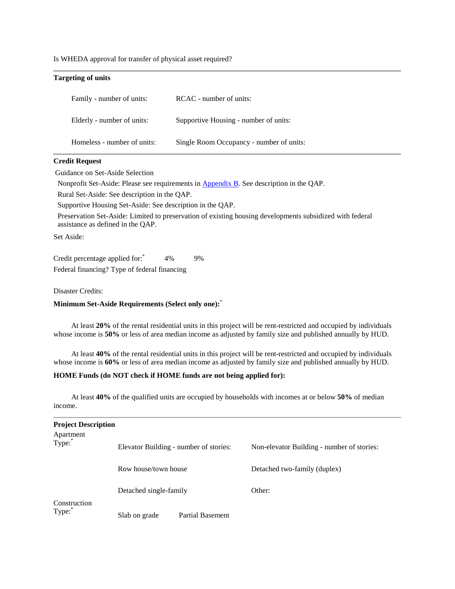Is WHEDA approval for transfer of physical asset required?

| <b>Targeting of units</b>   |                                          |
|-----------------------------|------------------------------------------|
| Family - number of units:   | RCAC - number of units:                  |
| Elderly - number of units:  | Supportive Housing - number of units:    |
| Homeless - number of units: | Single Room Occupancy - number of units: |

#### **Credit Request**

Guidance on Set-Aside Selection

Nonprofit Set-Aside: Please see requirements in **Appendix B**. See description in the QAP.

Rural Set-Aside: See description in the QAP.

Supportive Housing Set-Aside: See description in the QAP.

Preservation Set-Aside: Limited to preservation of existing housing developments subsidized with federal assistance as defined in the QAP.

Set Aside:

Credit percentage applied for:  $4\%$  9% Federal financing? Type of federal financing

Disaster Credits:

# **Minimum Set-Aside Requirements (Select only one):**\*

At least **20%** of the rental residential units in this project will be rent-restricted and occupied by individuals whose income is **50%** or less of area median income as adjusted by family size and published annually by HUD.

At least **40%** of the rental residential units in this project will be rent-restricted and occupied by individuals whose income is **60%** or less of area median income as adjusted by family size and published annually by HUD.

## **HOME Funds (do NOT check if HOME funds are not being applied for):**

At least **40%** of the qualified units are occupied by households with incomes at or below **50%** of median income.

| <b>Project Description</b> |                                        |                         |                                            |  |
|----------------------------|----------------------------------------|-------------------------|--------------------------------------------|--|
| Apartment<br>Type:         | Elevator Building - number of stories: |                         | Non-elevator Building - number of stories: |  |
|                            | Row house/town house                   |                         | Detached two-family (duplex)               |  |
|                            | Detached single-family                 |                         | Other:                                     |  |
| Construction<br>Type:      | Slab on grade                          | <b>Partial Basement</b> |                                            |  |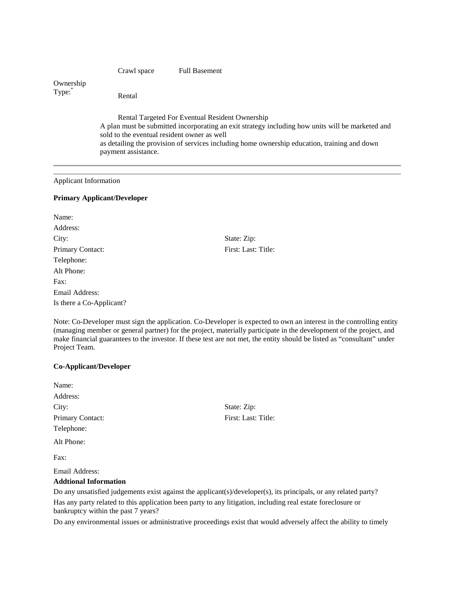Crawl space Full Basement Ownership Type:\* Rental Rental Targeted For Eventual Resident Ownership A plan must be submitted incorporating an exit strategy including how units will be marketed and sold to the eventual resident owner as well as detailing the provision of services including home ownership education, training and down payment assistance.

#### Applicant Information

#### **Primary Applicant/Developer**

| Name:                    |
|--------------------------|
| Address:                 |
| City:                    |
| Primary Contact:         |
| Telephone:               |
| Alt Phone:               |
| $\text{Fax}:$            |
| Email Address:           |
| Is there a Co-Applicant? |

State: Zip: First: Last: Title:

Note: Co-Developer must sign the application. Co-Developer is expected to own an interest in the controlling entity (managing member or general partner) for the project, materially participate in the development of the project, and make financial guarantees to the investor. If these test are not met, the entity should be listed as "consultant" under Project Team.

> State: Zip: First: Last: Title:

#### **Co-Applicant/Developer**

| Name:            |  |
|------------------|--|
| Address:         |  |
| City:            |  |
| Primary Contact: |  |
| Telephone:       |  |
| Alt Phone:       |  |
| Fax:             |  |

Email Address:

#### **Addtional Information**

Do any unsatisfied judgements exist against the applicant(s)/developer(s), its principals, or any related party? Has any party related to this application been party to any litigation, including real estate foreclosure or bankruptcy within the past 7 years?

Do any environmental issues or administrative proceedings exist that would adversely affect the ability to timely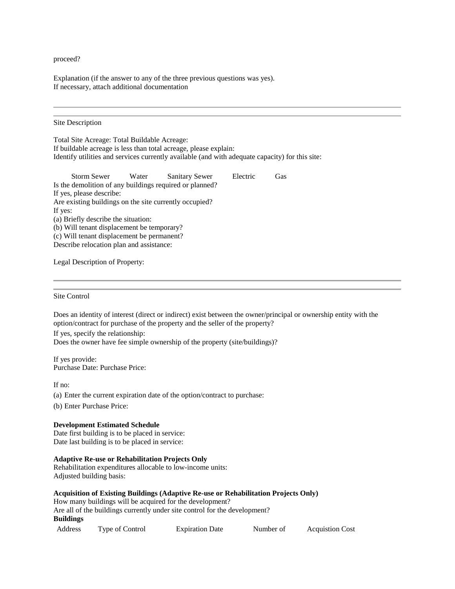proceed?

Explanation (if the answer to any of the three previous questions was yes). If necessary, attach additional documentation

#### Site Description

Total Site Acreage: Total Buildable Acreage: If buildable acreage is less than total acreage, please explain: Identify utilities and services currently available (and with adequate capacity) for this site:

| Storm Sewer                                             | Water | <b>Sanitary Sewer</b> | Electric | Gas |
|---------------------------------------------------------|-------|-----------------------|----------|-----|
| Is the demolition of any buildings required or planned? |       |                       |          |     |
| If yes, please describe:                                |       |                       |          |     |
| Are existing buildings on the site currently occupied?  |       |                       |          |     |
| If yes:                                                 |       |                       |          |     |
| (a) Briefly describe the situation:                     |       |                       |          |     |
| (b) Will tenant displacement be temporary?              |       |                       |          |     |
| (c) Will tenant displacement be permanent?              |       |                       |          |     |
| Describe relocation plan and assistance:                |       |                       |          |     |

Legal Description of Property:

#### Site Control

Does an identity of interest (direct or indirect) exist between the owner/principal or ownership entity with the option/contract for purchase of the property and the seller of the property?

If yes, specify the relationship:

Does the owner have fee simple ownership of the property (site/buildings)?

If yes provide: Purchase Date: Purchase Price:

If no:

(a) Enter the current expiration date of the option/contract to purchase:

(b) Enter Purchase Price:

# **Development Estimated Schedule**

Date first building is to be placed in service: Date last building is to be placed in service:

# **Adaptive Re-use or Rehabilitation Projects Only**

Rehabilitation expenditures allocable to low-income units: Adjusted building basis:

| Acquisition of Existing Buildings (Adaptive Re-use or Rehabilitation Projects Only) |
|-------------------------------------------------------------------------------------|
| How many buildings will be acquired for the development?                            |
| Are all of the buildings currently under site control for the development?          |
| Buildings                                                                           |
|                                                                                     |

| Address | Type of Control | <b>Expiration Date</b> | Number of | <b>Acquistion Cost</b> |
|---------|-----------------|------------------------|-----------|------------------------|
|---------|-----------------|------------------------|-----------|------------------------|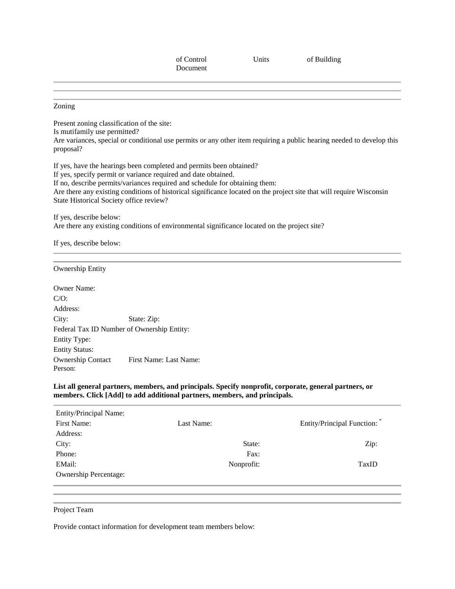of Control Document

Units of Building

Zoning

Present zoning classification of the site: Is mutifamily use permitted? Are variances, special or conditional use permits or any other item requiring a public hearing needed to develop this proposal?

If yes, have the hearings been completed and permits been obtained? If yes, specify permit or variance required and date obtained. If no, describe permits/variances required and schedule for obtaining them: Are there any existing conditions of historical significance located on the project site that will require Wisconsin State Historical Society office review?

If yes, describe below: Are there any existing conditions of environmental significance located on the project site?

If yes, describe below:

Ownership Entity

Owner Name: C/O: Address: City: State: Zip: Federal Tax ID Number of Ownership Entity: Entity Type: Entity Status: Ownership Contact Person: First Name: Last Name:

**List all general partners, members, and principals. Specify nonprofit, corporate, general partners, or members. Click [Add] to add additional partners, members, and principals.**

| <b>Entity/Principal Name:</b> |            |                            |
|-------------------------------|------------|----------------------------|
| First Name:                   | Last Name: | Entity/Principal Function: |
| Address:                      |            |                            |
| City:                         | State:     | Zip:                       |
| Phone:                        | Fax:       |                            |
| EMail:                        | Nonprofit: | TaxID                      |
| <b>Ownership Percentage:</b>  |            |                            |
|                               |            |                            |

Project Team

Provide contact information for development team members below: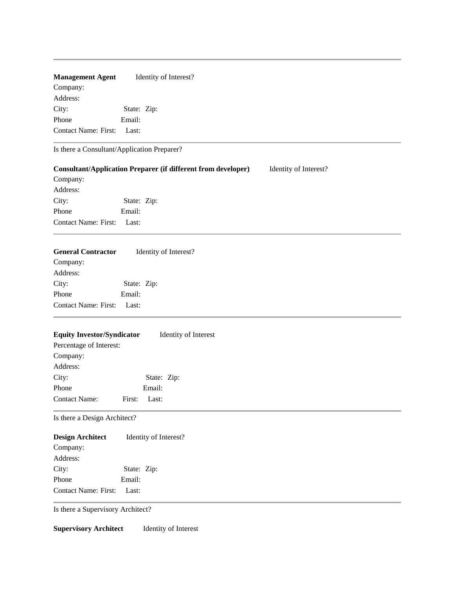# **Management Agent** Identity of Interest?

Company: Address: City: State: Zip: Phone Email: Contact Name: First: Last:

Is there a Consultant/Application Preparer?

|                             |             | <b>Consultant/Application Preparer (if different from developer)</b> | Identity of Interest? |  |
|-----------------------------|-------------|----------------------------------------------------------------------|-----------------------|--|
| Company:                    |             |                                                                      |                       |  |
| Address:                    |             |                                                                      |                       |  |
| City:                       | State: Zip: |                                                                      |                       |  |
| Phone                       | Email:      |                                                                      |                       |  |
| <b>Contact Name: First:</b> | Last:       |                                                                      |                       |  |
|                             |             |                                                                      |                       |  |

| <b>General Contractor</b> |             | Identity of Interest? |
|---------------------------|-------------|-----------------------|
| Company:                  |             |                       |
| Address:                  |             |                       |
| City:                     | State: Zip: |                       |
| Phone                     | Email:      |                       |
| Contact Name: First:      | Last:       |                       |
|                           |             |                       |

# **Equity Investor/Syndicator** Identity of Interest

| Percentage of Interest: |              |  |
|-------------------------|--------------|--|
| Company:                |              |  |
| Address:                |              |  |
| City:                   | State: Zip:  |  |
| Phone                   | Email:       |  |
| <b>Contact Name:</b>    | First: Last: |  |
|                         |              |  |

Is there a Design Architect?

# **Design Architect** Identity of Interest?

| Company:             |             |  |
|----------------------|-------------|--|
| Address:             |             |  |
| City:                | State: Zip: |  |
| Phone                | Email:      |  |
| Contact Name: First: | - Last:     |  |

Is there a Supervisory Architect?

**Supervisory Architect** Identity of Interest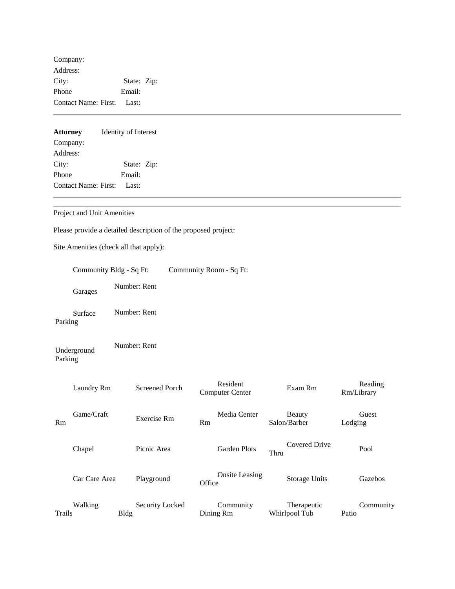Company: Address: City: State: Zip: Phone Email: Contact Name: First: Last:

| <b>Attorney</b>             | Identity of Interest |  |  |  |  |  |
|-----------------------------|----------------------|--|--|--|--|--|
| Company:                    |                      |  |  |  |  |  |
| Address:                    |                      |  |  |  |  |  |
| City:                       | State: Zip:          |  |  |  |  |  |
| Phone                       | Email:               |  |  |  |  |  |
| <b>Contact Name: First:</b> | Last:                |  |  |  |  |  |

Project and Unit Amenities

Please provide a detailed description of the proposed project:

Site Amenities (check all that apply):

|         | Community Bldg - Sq Ft: |             |                       |        | Community Room - Sq Ft:            |      |                              |         |                       |
|---------|-------------------------|-------------|-----------------------|--------|------------------------------------|------|------------------------------|---------|-----------------------|
|         | Garages                 |             | Number: Rent          |        |                                    |      |                              |         |                       |
| Parking | Surface                 |             | Number: Rent          |        |                                    |      |                              |         |                       |
| Parking | Underground             |             | Number: Rent          |        |                                    |      |                              |         |                       |
|         | Laundry Rm              |             | <b>Screened Porch</b> |        | Resident<br><b>Computer Center</b> |      | Exam Rm                      |         | Reading<br>Rm/Library |
| Rm      | Game/Craft              |             | Exercise Rm           | Rm     | Media Center                       |      | Beauty<br>Salon/Barber       | Lodging | Guest                 |
|         | Chapel                  |             | Picnic Area           |        | <b>Garden Plots</b>                | Thru | <b>Covered Drive</b>         |         | Pool                  |
|         | Car Care Area           |             | Playground            | Office | <b>Onsite Leasing</b>              |      | <b>Storage Units</b>         |         | Gazebos               |
| Trails  | Walking                 | <b>Bldg</b> | Security Locked       |        | Community<br>Dining Rm             |      | Therapeutic<br>Whirlpool Tub | Patio   | Community             |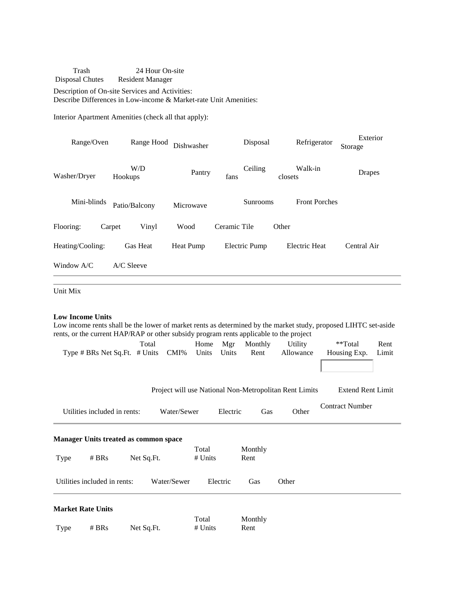Trash Disposal Chutes 24 Hour On-site Resident Manager

Description of On-site Services and Activities: Describe Differences in Low-income & Market-rate Unit Amenities:

Interior Apartment Amenities (check all that apply):

| Range/Oven       | Range Hood      | Dishwasher |              | Disposal        | Refrigerator         | Exterior<br>Storage |
|------------------|-----------------|------------|--------------|-----------------|----------------------|---------------------|
| Washer/Dryer     | W/D<br>Hookups  | Pantry     | fans         | Ceiling         | Walk-in<br>closets   | Drapes              |
| Mini-blinds      | Patio/Balcony   | Microwave  |              | <b>Sunrooms</b> | <b>Front Porches</b> |                     |
| Flooring:        | Vinyl<br>Carpet | Wood       | Ceramic Tile |                 | Other                |                     |
| Heating/Cooling: | <b>Gas Heat</b> | Heat Pump  |              | Electric Pump   | Electric Heat        | Central Air         |
| Window $A/C$     | $A/C$ Sleeve    |            |              |                 |                      |                     |

Unit Mix

#### **Low Income Units**

Low income rents shall be the lower of market rents as determined by the market study, proposed LIHTC set-aside rents, or the current HAP/RAP or other subsidy program rents applicable to the project

| Total                                     |             | Home Mgr Monthly | <b>Utility</b> | **Total            | Rent |
|-------------------------------------------|-------------|------------------|----------------|--------------------|------|
| Type $\#$ BRs Net Sq. Ft. $\#$ Units CMI% | Units Units | Rent             | Allowance      | Housing Exp. Limit |      |
|                                           |             |                  |                |                    |      |

Project will use National Non-Metropolitan Rent Limits Extend Rent Limit

|      | Utilities included in rents:                 |            | Water/Sewer |                    | Electric | Gas     | Other | <b>Contract Number</b> |
|------|----------------------------------------------|------------|-------------|--------------------|----------|---------|-------|------------------------|
|      | <b>Manager Units treated as common space</b> |            |             |                    |          |         |       |                        |
| Type | # BRs                                        | Net Sq.Ft. |             | Total<br># Units   | Rent     | Monthly |       |                        |
|      | Utilities included in rents:                 |            | Water/Sewer | Electric           |          | Gas     | Other |                        |
|      | <b>Market Rate Units</b>                     |            |             |                    |          |         |       |                        |
| Type | # BRs                                        | Net Sq.Ft. |             | Total<br>$#$ Units | Rent     | Monthly |       |                        |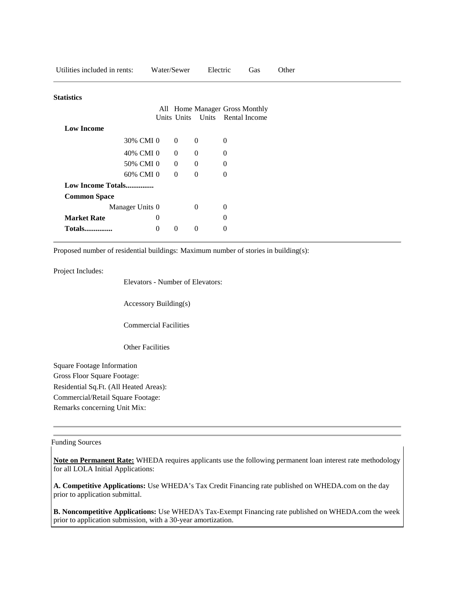| Utilities included in rents: |                  | Water/Sewer    | Electric                       |              | Gas                 | Other |
|------------------------------|------------------|----------------|--------------------------------|--------------|---------------------|-------|
| Statistics                   |                  |                |                                |              |                     |       |
|                              |                  |                |                                |              |                     |       |
|                              |                  |                | All Home Manager Gross Monthly |              |                     |       |
|                              |                  | Units Units    |                                |              | Units Rental Income |       |
| <b>Low Income</b>            |                  |                |                                |              |                     |       |
|                              | 30% CMI 0        | $\overline{0}$ | $\mathbf{0}$                   | $\theta$     |                     |       |
|                              | 40% CMI 0        | $\overline{0}$ | $\theta$                       | $\theta$     |                     |       |
|                              | 50% CMI 0        | $\theta$       | $\mathbf{0}$                   | $\mathbf{0}$ |                     |       |
|                              | 60% CMI 0        | $\overline{0}$ | $\mathbf{0}$                   | $\mathbf{0}$ |                     |       |
| Low Income Totals            |                  |                |                                |              |                     |       |
| <b>Common Space</b>          |                  |                |                                |              |                     |       |
|                              | Manager Units 0  |                | $\Omega$                       | $\mathbf{0}$ |                     |       |
| <b>Market Rate</b>           | $\boldsymbol{0}$ |                |                                | $\mathbf{0}$ |                     |       |
| <b>Totals</b>                | $\mathbf{0}$     | $\overline{0}$ | $\mathbf{0}$                   | $\theta$     |                     |       |

Proposed number of residential buildings: Maximum number of stories in building(s):

Project Includes:

Elevators - Number of Elevators:

Accessory Building(s)

Commercial Facilities

Other Facilities

Square Footage Information Gross Floor Square Footage: Residential Sq.Ft. (All Heated Areas): Commercial/Retail Square Footage: Remarks concerning Unit Mix:

#### Funding Sources

**Note on Permanent Rate:** WHEDA requires applicants use the following permanent loan interest rate methodology for all LOLA Initial Applications:

**A. Competitive Applications:** Use WHEDA's Tax Credit Financing rate published on WHEDA.com on the day prior to application submittal.

**B. Noncompetitive Applications:** Use WHEDA's Tax-Exempt Financing rate published on WHEDA.com the week prior to application submission, with a 30-year amortization.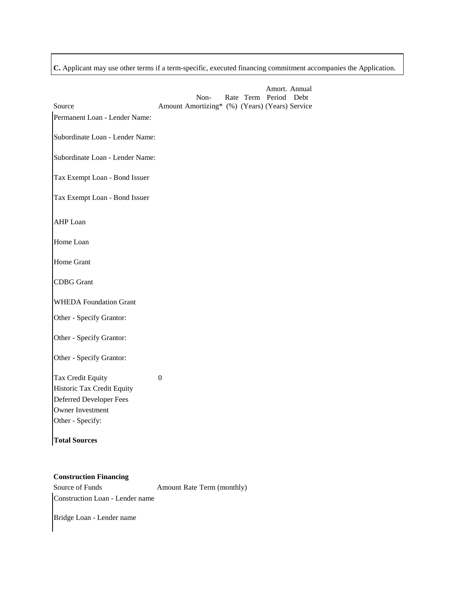**C.** Applicant may use other terms if a term-specific, executed financing commitment accompanies the Application.

| $\overline{0}$ |  |  |  |
|----------------|--|--|--|
|                |  |  |  |
|                |  |  |  |

Source of Funds Amount Rate Term (monthly) Construction Loan - Lender name

Bridge Loan - Lender name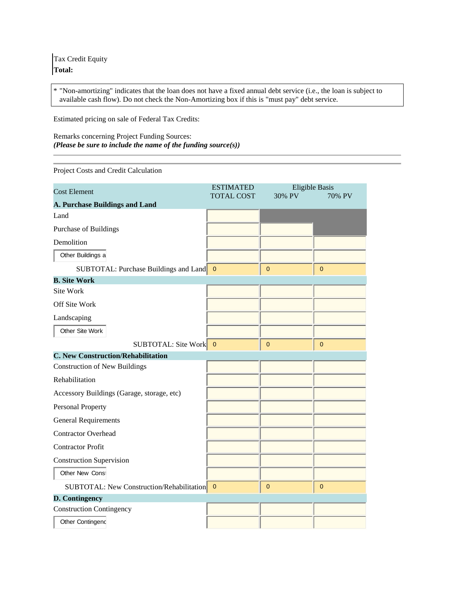Tax Credit Equity **Total:**

\* "Non-amortizing" indicates that the loan does not have a fixed annual debt service (i.e., the loan is subject to available cash flow). Do not check the Non-Amortizing box if this is "must pay" debt service.

Estimated pricing on sale of Federal Tax Credits:

Remarks concerning Project Funding Sources: *(Please be sure to include the name of the funding source(s))*

Project Costs and Credit Calculation

| <b>Cost Element</b>                                | <b>ESTIMATED</b>  | <b>Eligible Basis</b> |                |
|----------------------------------------------------|-------------------|-----------------------|----------------|
|                                                    | <b>TOTAL COST</b> | 30% PV                | 70% PV         |
| A. Purchase Buildings and Land                     |                   |                       |                |
| Land                                               |                   |                       |                |
| Purchase of Buildings                              |                   |                       |                |
| Demolition                                         |                   |                       |                |
| Other Buildings a                                  |                   |                       |                |
| <b>SUBTOTAL:</b> Purchase Buildings and Land 0     |                   | $\mathbf{0}$          | $\overline{0}$ |
| <b>B. Site Work</b>                                |                   |                       |                |
| Site Work                                          |                   |                       |                |
| Off Site Work                                      |                   |                       |                |
| Landscaping                                        |                   |                       |                |
| Other Site Work                                    |                   |                       |                |
| <b>SUBTOTAL: Site Work</b>                         | $\mathbf{0}$      | $\overline{0}$        | $\mathbf 0$    |
| <b>C. New Construction/Rehabilitation</b>          |                   |                       |                |
| <b>Construction of New Buildings</b>               |                   |                       |                |
| Rehabilitation                                     |                   |                       |                |
| Accessory Buildings (Garage, storage, etc)         |                   |                       |                |
| Personal Property                                  |                   |                       |                |
| <b>General Requirements</b>                        |                   |                       |                |
| <b>Contractor Overhead</b>                         |                   |                       |                |
| <b>Contractor Profit</b>                           |                   |                       |                |
| <b>Construction Supervision</b>                    |                   |                       |                |
| Other New Const                                    |                   |                       |                |
| <b>SUBTOTAL:</b> New Construction/Rehabilitation 0 |                   | $\overline{0}$        | $\mathbf{0}$   |
| D. Contingency                                     |                   |                       |                |
| <b>Construction Contingency</b>                    |                   |                       |                |
| Other Contingend                                   |                   |                       |                |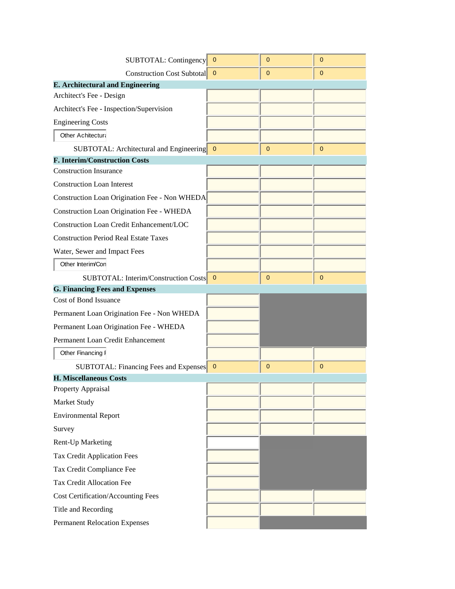| SUBTOTAL: Contingency                           | $\overline{\phantom{0}}$ | $\overline{0}$ | $\mathbf 0$ |
|-------------------------------------------------|--------------------------|----------------|-------------|
| <b>Construction Cost Subtotal</b>               | $\mathbf{0}$             | 0              | $\mathbf 0$ |
| <b>E. Architectural and Engineering</b>         |                          |                |             |
| Architect's Fee - Design                        |                          |                |             |
| Architect's Fee - Inspection/Supervision        |                          |                |             |
| <b>Engineering Costs</b>                        |                          |                |             |
| <b>Other Achitectura</b>                        |                          |                |             |
| SUBTOTAL: Architectural and Engineering 0       |                          | 0              | $\mathbf 0$ |
| <b>F. Interim/Construction Costs</b>            |                          |                |             |
| <b>Construction Insurance</b>                   |                          |                |             |
| <b>Construction Loan Interest</b>               |                          |                |             |
| Construction Loan Origination Fee - Non WHEDA   |                          |                |             |
| Construction Loan Origination Fee - WHEDA       |                          |                |             |
| <b>Construction Loan Credit Enhancement/LOC</b> |                          |                |             |
| <b>Construction Period Real Estate Taxes</b>    |                          |                |             |
| Water, Sewer and Impact Fees                    |                          |                |             |
| Other Interim/Con                               |                          |                |             |
| SUBTOTAL: Interim/Construction Costs 0          |                          | $\mathbf{0}$   | $\mathbf 0$ |
| <b>G. Financing Fees and Expenses</b>           |                          |                |             |
|                                                 |                          |                |             |
| Cost of Bond Issuance                           |                          |                |             |
| Permanent Loan Origination Fee - Non WHEDA      |                          |                |             |
| Permanent Loan Origination Fee - WHEDA          |                          |                |             |
| Permanent Loan Credit Enhancement               |                          |                |             |
| Other Financing F                               |                          |                |             |
| <b>SUBTOTAL: Financing Fees and Expenses</b> 0  |                          | $\mathbf{0}$   | 0           |
| <b>H. Miscellaneous Costs</b>                   |                          |                |             |
| Property Appraisal                              |                          |                |             |
| Market Study                                    |                          |                |             |
| <b>Environmental Report</b>                     |                          |                |             |
| Survey                                          |                          |                |             |
| Rent-Up Marketing                               |                          |                |             |
| Tax Credit Application Fees                     |                          |                |             |
| Tax Credit Compliance Fee                       |                          |                |             |
| Tax Credit Allocation Fee                       |                          |                |             |
| <b>Cost Certification/Accounting Fees</b>       |                          |                |             |
| Title and Recording                             |                          |                |             |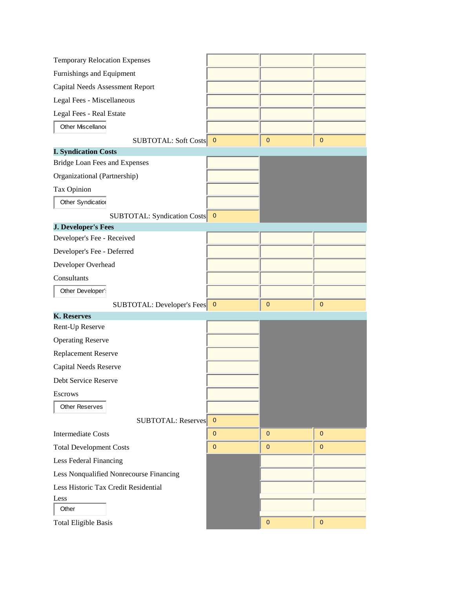| <b>Temporary Relocation Expenses</b>    |                |              |              |
|-----------------------------------------|----------------|--------------|--------------|
| Furnishings and Equipment               |                |              |              |
| <b>Capital Needs Assessment Report</b>  |                |              |              |
| Legal Fees - Miscellaneous              |                |              |              |
| Legal Fees - Real Estate                |                |              |              |
| Other Miscellanou                       |                |              |              |
| SUBTOTAL: Soft Costs 0                  |                | 0            | $\mathbf 0$  |
| <b>I. Syndication Costs</b>             |                |              |              |
| Bridge Loan Fees and Expenses           |                |              |              |
| Organizational (Partnership)            |                |              |              |
| Tax Opinion                             |                |              |              |
| Other Syndication                       |                |              |              |
| SUBTOTAL: Syndication Costs 0           |                |              |              |
| <b>J. Developer's Fees</b>              |                |              |              |
| Developer's Fee - Received              |                |              |              |
| Developer's Fee - Deferred              |                |              |              |
| Developer Overhead                      |                |              |              |
| Consultants                             |                |              |              |
| Other Developer's                       |                |              |              |
| SUBTOTAL: Developer's Fees 0            |                | $\mathbf{0}$ | $\mathbf 0$  |
| <b>K. Reserves</b>                      |                |              |              |
| Rent-Up Reserve                         |                |              |              |
| <b>Operating Reserve</b>                |                |              |              |
| Replacement Reserve                     |                |              |              |
| <b>Capital Needs Reserve</b>            |                |              |              |
| Debt Service Reserve                    |                |              |              |
| <b>Escrows</b>                          |                |              |              |
| <b>Other Reserves</b>                   |                |              |              |
| <b>SUBTOTAL: Reserves</b>               | $\overline{0}$ |              |              |
| <b>Intermediate Costs</b>               | $\mathbf{0}$   | $\mathbf{0}$ | $\mathbf 0$  |
| <b>Total Development Costs</b>          | $\mathbf{0}$   | 0            | $\mathbf{0}$ |
| Less Federal Financing                  |                |              |              |
| Less Nonqualified Nonrecourse Financing |                |              |              |
| Less Historic Tax Credit Residential    |                |              |              |
| Less                                    |                |              |              |
| Other                                   |                |              |              |
| <b>Total Eligible Basis</b>             |                | $\mathbf{0}$ | $\pmb{0}$    |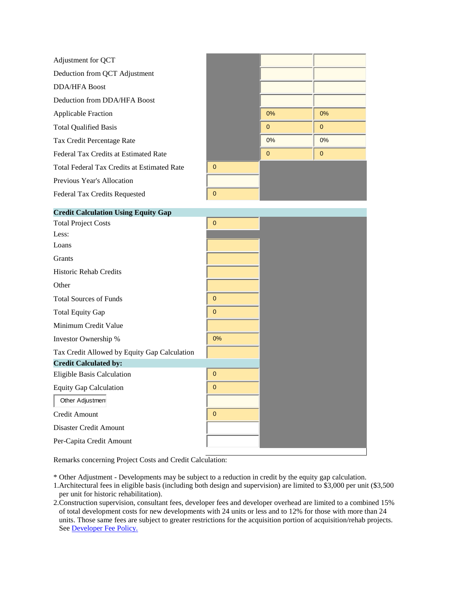| Adjustment for QCT                           |             |              |              |
|----------------------------------------------|-------------|--------------|--------------|
| Deduction from QCT Adjustment                |             |              |              |
| <b>DDA/HFA Boost</b>                         |             |              |              |
| Deduction from DDA/HFA Boost                 |             |              |              |
| <b>Applicable Fraction</b>                   |             | 0%           | 0%           |
| <b>Total Qualified Basis</b>                 |             | $\mathbf{0}$ | $\mathbf{0}$ |
| Tax Credit Percentage Rate                   |             | 0%           | $0\%$        |
| Federal Tax Credits at Estimated Rate        |             | $\mathbf{0}$ | $\pmb{0}$    |
| Total Federal Tax Credits at Estimated Rate  | $\mathbf 0$ |              |              |
| Previous Year's Allocation                   |             |              |              |
| Federal Tax Credits Requested                | $\pmb{0}$   |              |              |
| <b>Credit Calculation Using Equity Gap</b>   |             |              |              |
| <b>Total Project Costs</b>                   | $\mathbf 0$ |              |              |
| Less:                                        |             |              |              |
| Loans                                        |             |              |              |
| Grants                                       |             |              |              |
| Historic Rehab Credits                       |             |              |              |
| Other                                        |             |              |              |
| <b>Total Sources of Funds</b>                | $\mathbf 0$ |              |              |
| <b>Total Equity Gap</b>                      | $\mathbf 0$ |              |              |
| Minimum Credit Value                         |             |              |              |
| Investor Ownership %                         | $0\%$       |              |              |
| Tax Credit Allowed by Equity Gap Calculation |             |              |              |
| <b>Credit Calculated by:</b>                 |             |              |              |
| Eligible Basis Calculation                   | $\mathbf 0$ |              |              |
| <b>Equity Gap Calculation</b>                | 0           |              |              |
| Other Adjustment                             |             |              |              |
| Credit Amount                                | $\mathbf 0$ |              |              |
| Disaster Credit Amount                       |             |              |              |
| Per-Capita Credit Amount                     |             |              |              |

Remarks concerning Project Costs and Credit Calculation:

\* Other Adjustment - Developments may be subject to a reduction in credit by the equity gap calculation.

1.Architectural fees in eligible basis (including both design and supervision) are limited to \$3,000 per unit (\$3,500 per unit for historic rehabilitation).

2.Construction supervision, consultant fees, developer fees and developer overhead are limited to a combined 15% of total development costs for new developments with 24 units or less and to 12% for those with more than 24 units. Those same fees are subject to greater restrictions for the acquisition portion of acquisition/rehab projects. See [Developer Fee Policy.](https://www.wheda.com/uploadedFiles/Website/Wheda_Products/LIHTC/LIHTC_Appendices/Appx%20J_13.pdf)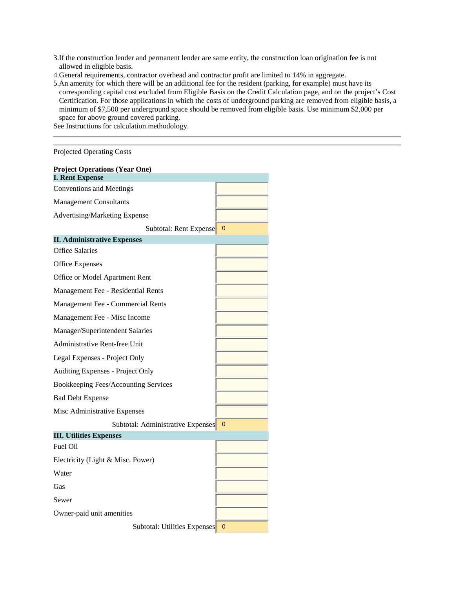- 3.If the construction lender and permanent lender are same entity, the construction loan origination fee is not allowed in eligible basis.
- 4.General requirements, contractor overhead and contractor profit are limited to 14% in aggregate.
- 5.An amenity for which there will be an additional fee for the resident (parking, for example) must have its corresponding capital cost excluded from Eligible Basis on the Credit Calculation page, and on the project's Cost Certification. For those applications in which the costs of underground parking are removed from eligible basis, a minimum of \$7,500 per underground space should be removed from eligible basis. Use minimum \$2,000 per space for above ground covered parking.

See Instructions for calculation methodology.

Projected Operating Costs

| <b>Project Operations (Year One)</b> |              |
|--------------------------------------|--------------|
| <b>I. Rent Expense</b>               |              |
| <b>Conventions and Meetings</b>      |              |
| <b>Management Consultants</b>        |              |
| Advertising/Marketing Expense        |              |
| Subtotal: Rent Expense               | $\mathbf{0}$ |
| <b>II. Administrative Expenses</b>   |              |
| <b>Office Salaries</b>               |              |
| <b>Office Expenses</b>               |              |
| Office or Model Apartment Rent       |              |
| Management Fee - Residential Rents   |              |
| Management Fee - Commercial Rents    |              |
| Management Fee - Misc Income         |              |
| Manager/Superintendent Salaries      |              |
| Administrative Rent-free Unit        |              |
| Legal Expenses - Project Only        |              |
| Auditing Expenses - Project Only     |              |
| Bookkeeping Fees/Accounting Services |              |
| <b>Bad Debt Expense</b>              |              |
| Misc Administrative Expenses         |              |
| Subtotal: Administrative Expenses    | $\mathbf{0}$ |
| <b>III. Utilities Expenses</b>       |              |
| Fuel Oil                             |              |
| Electricity (Light & Misc. Power)    |              |
| Water                                |              |
| Gas                                  |              |
| Sewer                                |              |
| Owner-paid unit amenities            |              |
| Subtotal: Utilities Expenses         | 0            |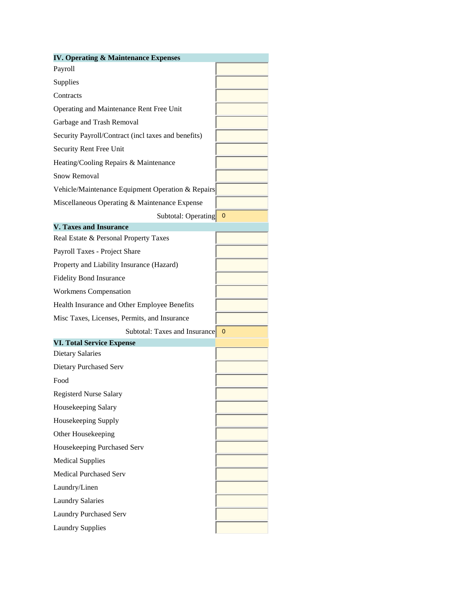| <b>IV. Operating &amp; Maintenance Expenses</b>     |   |
|-----------------------------------------------------|---|
| Payroll                                             |   |
| Supplies                                            |   |
| Contracts                                           |   |
| Operating and Maintenance Rent Free Unit            |   |
| Garbage and Trash Removal                           |   |
| Security Payroll/Contract (incl taxes and benefits) |   |
| Security Rent Free Unit                             |   |
| Heating/Cooling Repairs & Maintenance               |   |
| Snow Removal                                        |   |
| Vehicle/Maintenance Equipment Operation & Repairs   |   |
| Miscellaneous Operating & Maintenance Expense       |   |
| Subtotal: Operating 0                               |   |
| <b>V. Taxes and Insurance</b>                       |   |
| Real Estate & Personal Property Taxes               |   |
| Payroll Taxes - Project Share                       |   |
| Property and Liability Insurance (Hazard)           |   |
| <b>Fidelity Bond Insurance</b>                      |   |
| Workmens Compensation                               |   |
| Health Insurance and Other Employee Benefits        |   |
| Misc Taxes, Licenses, Permits, and Insurance        |   |
| Subtotal: Taxes and Insurance                       | 0 |
| <b>VI. Total Service Expense</b>                    |   |
| <b>Dietary Salaries</b>                             |   |
| Dietary Purchased Serv                              |   |
| Food                                                |   |
| <b>Registerd Nurse Salary</b>                       |   |
| Housekeeping Salary                                 |   |
| Housekeeping Supply                                 |   |
| Other Housekeeping                                  |   |
| Housekeeping Purchased Serv                         |   |
| <b>Medical Supplies</b>                             |   |
| <b>Medical Purchased Serv</b>                       |   |
| Laundry/Linen                                       |   |
| <b>Laundry Salaries</b>                             |   |
| <b>Laundry Purchased Serv</b>                       |   |
| <b>Laundry Supplies</b>                             |   |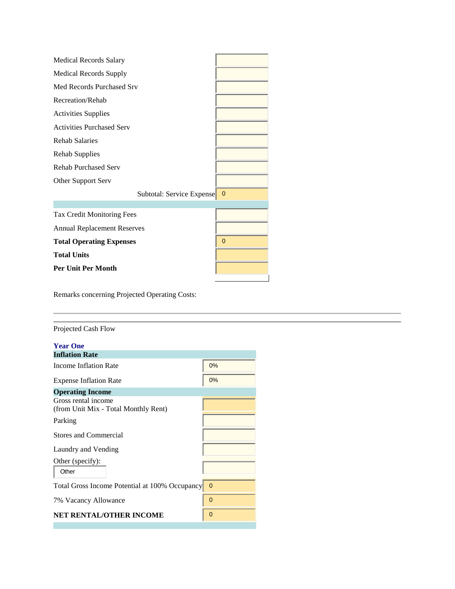| <b>Medical Records Salary</b>      |                         |
|------------------------------------|-------------------------|
| <b>Medical Records Supply</b>      |                         |
| Med Records Purchased Srv          |                         |
| Recreation/Rehab                   |                         |
| <b>Activities Supplies</b>         |                         |
| <b>Activities Purchased Serv</b>   |                         |
| <b>Rehab Salaries</b>              |                         |
| <b>Rehab Supplies</b>              |                         |
| <b>Rehab Purchased Serv</b>        |                         |
| Other Support Serv                 |                         |
| Subtotal: Service Expense          | $\overline{\mathbf{0}}$ |
|                                    |                         |
| <b>Tax Credit Monitoring Fees</b>  |                         |
| <b>Annual Replacement Reserves</b> |                         |
| <b>Total Operating Expenses</b>    | $\mathbf 0$             |
| <b>Total Units</b>                 |                         |
| <b>Per Unit Per Month</b>          |                         |
|                                    |                         |

Remarks concerning Projected Operating Costs:

| 0%                                               |
|--------------------------------------------------|
| 0%                                               |
|                                                  |
|                                                  |
|                                                  |
|                                                  |
|                                                  |
|                                                  |
| Total Gross Income Potential at 100% Occupancy 0 |
| $\mathbf{0}$                                     |
| $\mathbf{0}$                                     |
|                                                  |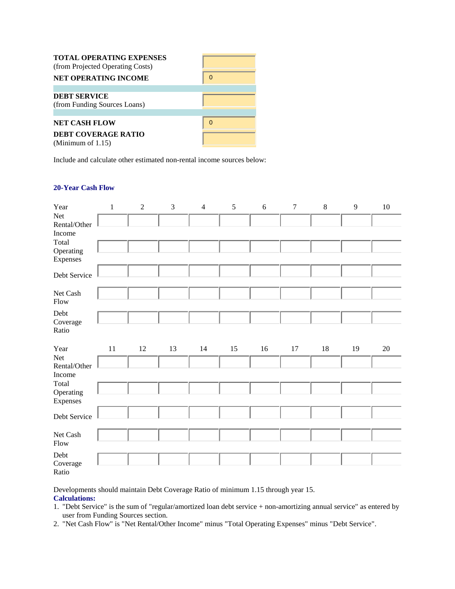| <b>TOTAL OPERATING EXPENSES</b><br>(from Projected Operating Costs)<br><b>NET OPERATING INCOME</b> |  |
|----------------------------------------------------------------------------------------------------|--|
| <b>DEBT SERVICE</b><br>(from Funding Sources Loans)                                                |  |
| <b>NET CASH FLOW</b><br><b>DEBT COVERAGE RATIO</b><br>(Minimum of $1.15$ )                         |  |

Include and calculate other estimated non-rental income sources below:

# **20-Year Cash Flow**

| Year                  | $\mathbf 1$ | $\sqrt{2}$ | $\mathfrak{Z}$ | $\overline{4}$ | $\sqrt{5}$ | $\sqrt{6}$ | $\boldsymbol{7}$ | $\,8\,$ | $\overline{9}$ | $10\,$ |
|-----------------------|-------------|------------|----------------|----------------|------------|------------|------------------|---------|----------------|--------|
| Net<br>Rental/Other   |             |            |                |                |            |            |                  |         |                |        |
| Income                |             |            |                |                |            |            |                  |         |                |        |
| Total                 |             |            |                |                |            |            |                  |         |                |        |
| Operating<br>Expenses |             |            |                |                |            |            |                  |         |                |        |
| Debt Service          |             |            |                |                |            |            |                  |         |                |        |
| Net Cash<br>Flow      |             |            |                |                |            |            |                  |         |                |        |
| Debt                  |             |            |                |                |            |            |                  |         |                |        |
| Coverage<br>Ratio     |             |            |                |                |            |            |                  |         |                |        |
| Year                  | 11          | 12         | 13             | 14             | 15         | 16         | 17               | 18      | 19             | $20\,$ |
|                       |             |            |                |                |            |            |                  |         |                |        |
| Net                   |             |            |                |                |            |            |                  |         |                |        |
| Rental/Other          |             |            |                |                |            |            |                  |         |                |        |
| Income                |             |            |                |                |            |            |                  |         |                |        |
| Total                 |             |            |                |                |            |            |                  |         |                |        |
| Operating<br>Expenses |             |            |                |                |            |            |                  |         |                |        |
| Debt Service          |             |            |                |                |            |            |                  |         |                |        |
| Net Cash<br>Flow      |             |            |                |                |            |            |                  |         |                |        |
| Debt<br>Coverage      |             |            |                |                |            |            |                  |         |                |        |

Developments should maintain Debt Coverage Ratio of minimum 1.15 through year 15.

# **Calculations:**

- 1. "Debt Service" is the sum of "regular/amortized loan debt service + non-amortizing annual service" as entered by user from Funding Sources section.
- 2. "Net Cash Flow" is "Net Rental/Other Income" minus "Total Operating Expenses" minus "Debt Service".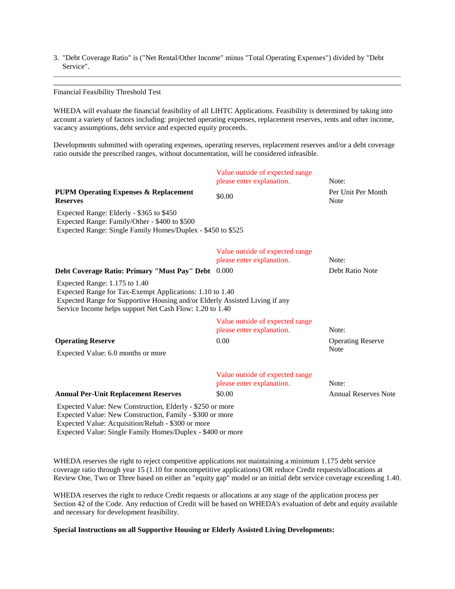3. "Debt Coverage Ratio" is ("Net Rental/Other Income" minus "Total Operating Expenses") divided by "Debt Service".

Financial Feasibility Threshold Test

WHEDA will evaluate the financial feasibility of all LIHTC Applications. Feasibility is determined by taking into account a variety of factors including: projected operating expenses, replacement reserves, rents and other income, vacancy assumptions, debt service and expected equity proceeds.

Developments submitted with operating expenses, operating reserves, replacement reserves and/or a debt coverage ratio outside the prescribed ranges, without documentation, will be considered infeasible.

|                                                                                                                                                                                                                                          | Value outside of expected range<br>please enter explanation. | Note:                             |
|------------------------------------------------------------------------------------------------------------------------------------------------------------------------------------------------------------------------------------------|--------------------------------------------------------------|-----------------------------------|
| <b>PUPM Operating Expenses &amp; Replacement</b><br><b>Reserves</b>                                                                                                                                                                      | \$0.00                                                       | Per Unit Per Month<br><b>Note</b> |
| Expected Range: Elderly - \$365 to \$450<br>Expected Range: Family/Other - \$400 to \$500<br>Expected Range: Single Family Homes/Duplex - \$450 to \$525                                                                                 |                                                              |                                   |
|                                                                                                                                                                                                                                          | Value outside of expected range<br>please enter explanation. | Note:                             |
| Debt Coverage Ratio: Primary "Must Pay" Debt 0.000                                                                                                                                                                                       |                                                              | Debt Ratio Note                   |
| Expected Range: 1.175 to 1.40<br>Expected Range for Tax-Exempt Applications: 1.10 to 1.40<br>Expected Range for Supportive Housing and/or Elderly Assisted Living if any<br>Service Income helps support Net Cash Flow: 1.20 to 1.40     |                                                              |                                   |
|                                                                                                                                                                                                                                          | Value outside of expected range<br>please enter explanation. | Note:                             |
| <b>Operating Reserve</b>                                                                                                                                                                                                                 | 0.00                                                         | <b>Operating Reserve</b>          |
| Expected Value: 6.0 months or more                                                                                                                                                                                                       |                                                              | <b>Note</b>                       |
|                                                                                                                                                                                                                                          | Value outside of expected range<br>please enter explanation. | Note:                             |
| <b>Annual Per-Unit Replacement Reserves</b>                                                                                                                                                                                              | \$0.00                                                       | <b>Annual Reserves Note</b>       |
| Expected Value: New Construction, Elderly - \$250 or more<br>Expected Value: New Construction, Family - \$300 or more<br>Expected Value: Acquisition/Rehab - \$300 or more<br>Expected Value: Single Family Homes/Duplex - \$400 or more |                                                              |                                   |

WHEDA reserves the right to reject competitive applications not maintaining a minimum 1.175 debt service coverage ratio through year 15 (1.10 for noncompetitive applications) OR reduce Credit requests/allocations at Review One, Two or Three based on either an "equity gap" model or an initial debt service coverage exceeding 1.40.

WHEDA reserves the right to reduce Credit requests or allocations at any stage of the application process per Section 42 of the Code. Any reduction of Credit will be based on WHEDA's evaluation of debt and equity available and necessary for development feasibility.

#### **Special Instructions on all Supportive Housing or Elderly Assisted Living Developments:**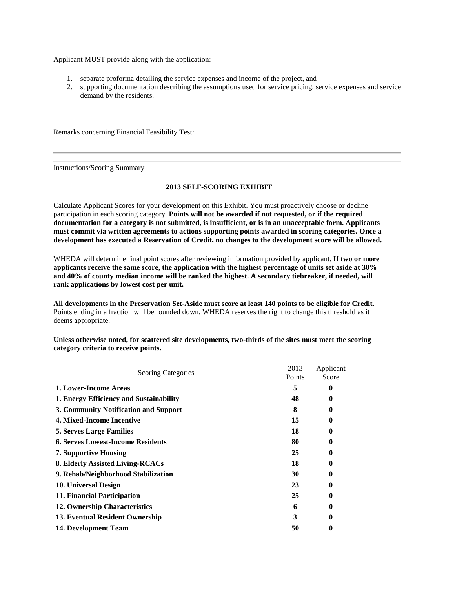Applicant MUST provide along with the application:

- 1. separate proforma detailing the service expenses and income of the project, and
- 2. supporting documentation describing the assumptions used for service pricing, service expenses and service demand by the residents.

Remarks concerning Financial Feasibility Test:

Instructions/Scoring Summary

## **2013 SELF-SCORING EXHIBIT**

Calculate Applicant Scores for your development on this Exhibit. You must proactively choose or decline participation in each scoring category. **Points will not be awarded if not requested, or if the required documentation for a category is not submitted, is insufficient, or is in an unacceptable form. Applicants must commit via written agreements to actions supporting points awarded in scoring categories. Once a development has executed a Reservation of Credit, no changes to the development score will be allowed.**

WHEDA will determine final point scores after reviewing information provided by applicant. **If two or more applicants receive the same score, the application with the highest percentage of units set aside at 30% and 40% of county median income will be ranked the highest. A secondary tiebreaker, if needed, will rank applications by lowest cost per unit.**

**All developments in the Preservation Set-Aside must score at least 140 points to be eligible for Credit.**  Points ending in a fraction will be rounded down. WHEDA reserves the right to change this threshold as it deems appropriate.

**Unless otherwise noted, for scattered site developments, two-thirds of the sites must meet the scoring category criteria to receive points.**

| <b>Scoring Categories</b>                | 2013<br>Points | Applicant<br>Score |  |
|------------------------------------------|----------------|--------------------|--|
| 1. Lower-Income Areas                    | 5              |                    |  |
| 1. Energy Efficiency and Sustainability  | 48             |                    |  |
| 3. Community Notification and Support    | 8              |                    |  |
| 4. Mixed-Income Incentive                | 15             |                    |  |
| <b>5. Serves Large Families</b>          | 18             |                    |  |
| <b>6. Serves Lowest-Income Residents</b> | 80             |                    |  |
| 7. Supportive Housing                    | 25             |                    |  |
| 8. Elderly Assisted Living-RCACs         | 18             | 0                  |  |
| 9. Rehab/Neighborhood Stabilization      | 30             |                    |  |
| 10. Universal Design                     | 23             |                    |  |
| 11. Financial Participation              | 25             |                    |  |
| 12. Ownership Characteristics            | 6              |                    |  |
| 13. Eventual Resident Ownership          | 3              |                    |  |
| 14. Development Team                     | 50             |                    |  |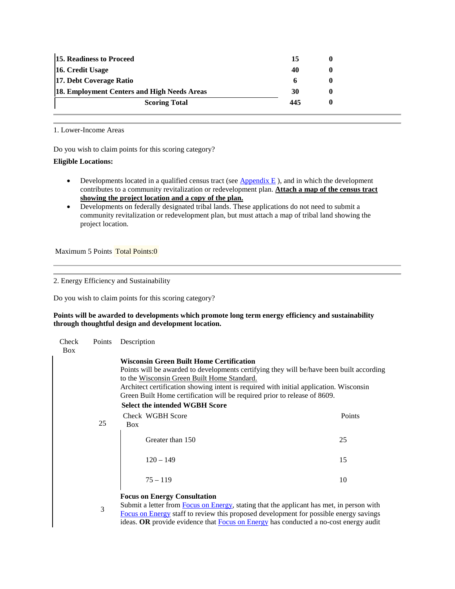| <b>15. Readiness to Proceed</b>             | 15  |  |
|---------------------------------------------|-----|--|
| 16. Credit Usage                            | 40  |  |
| 17. Debt Coverage Ratio                     | h   |  |
| 18. Employment Centers and High Needs Areas | 30  |  |
| <b>Scoring Total</b>                        | 445 |  |
|                                             |     |  |

1. Lower-Income Areas

Do you wish to claim points for this scoring category?

# **Eligible Locations:**

- Developments located in a qualified census tract (see  $\Delta$ *ppendix E*), and in which the development contributes to a community revitalization or redevelopment plan. **Attach a map of the census tract showing the project location and a copy of the plan.**
- Developments on federally designated tribal lands. These applications do not need to submit a community revitalization or redevelopment plan, but must attach a map of tribal land showing the project location.

Maximum 5 Points Total Points:0

2. Energy Efficiency and Sustainability

Do you wish to claim points for this scoring category?

## **Points will be awarded to developments which promote long term energy efficiency and sustainability through thoughtful design and development location.**

| Check<br>Points<br><b>Box</b> |    | Description                                                                                                                                                                                                                                                                                                                                                                                                |        |
|-------------------------------|----|------------------------------------------------------------------------------------------------------------------------------------------------------------------------------------------------------------------------------------------------------------------------------------------------------------------------------------------------------------------------------------------------------------|--------|
|                               |    | <b>Wisconsin Green Built Home Certification</b><br>Points will be awarded to developments certifying they will be/have been built according<br>to the Wisconsin Green Built Home Standard.<br>Architect certification showing intent is required with initial application. Wisconsin<br>Green Built Home certification will be required prior to release of 8609.<br><b>Select the intended WGBH Score</b> |        |
|                               | 25 | Check WGBH Score                                                                                                                                                                                                                                                                                                                                                                                           | Points |
|                               |    | <b>Box</b><br>Greater than 150                                                                                                                                                                                                                                                                                                                                                                             | 25     |
|                               |    | $120 - 149$                                                                                                                                                                                                                                                                                                                                                                                                | 15     |
|                               |    | $75 - 119$                                                                                                                                                                                                                                                                                                                                                                                                 | 10     |
|                               | 3  | <b>Focus on Energy Consultation</b><br>Submit a letter from Focus on Energy, stating that the applicant has met, in person with<br>Focus on Energy staff to review this proposed development for possible energy savings                                                                                                                                                                                   |        |

ideas. **OR** provide evidence tha[t Focus on Energy](http://www.focusonenergy.com/) has conducted a no-cost energy audit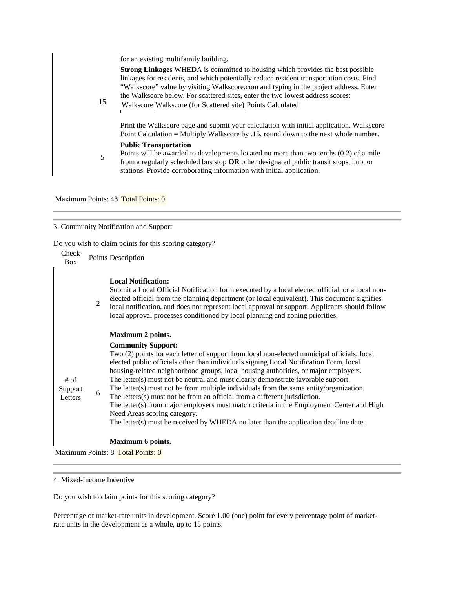for an existing multifamily building.

| 15 | <b>Strong Linkages</b> WHEDA is committed to housing which provides the best possible<br>linkages for residents, and which potentially reduce resident transportation costs. Find<br>"Walkscore" value by visiting Walkscore.com and typing in the project address. Enter<br>the Walkscore below. For scattered sites, enter the two lowest address scores:<br>Walkscore Walkscore (for Scattered site) Points Calculated |
|----|---------------------------------------------------------------------------------------------------------------------------------------------------------------------------------------------------------------------------------------------------------------------------------------------------------------------------------------------------------------------------------------------------------------------------|
|    | Print the Walkscore page and submit your calculation with initial application. Walkscore<br>Point Calculation = Multiply Walkscore by .15, round down to the next whole number.                                                                                                                                                                                                                                           |
| 5  | <b>Public Transportation</b><br>Points will be awarded to developments located no more than two tenths $(0.2)$ of a mile<br>from a regularly scheduled bus stop $OR$ other designated public transit stops, hub, or<br>stations. Provide corroborating information with initial application.                                                                                                                              |

Maximum Points: 48 Total Points: 0

# 3. Community Notification and Support

Do you wish to claim points for this scoring category?

| Check<br>Box                 |                | Points Description                                                                                                                                                                                                                                                                                                                                                                                                                                                                                                                                                                                                                                                                                                                                                                         |
|------------------------------|----------------|--------------------------------------------------------------------------------------------------------------------------------------------------------------------------------------------------------------------------------------------------------------------------------------------------------------------------------------------------------------------------------------------------------------------------------------------------------------------------------------------------------------------------------------------------------------------------------------------------------------------------------------------------------------------------------------------------------------------------------------------------------------------------------------------|
|                              | $\overline{2}$ | <b>Local Notification:</b><br>Submit a Local Official Notification form executed by a local elected official, or a local non-<br>elected official from the planning department (or local equivalent). This document signifies<br>local notification, and does not represent local approval or support. Applicants should follow<br>local approval processes conditioned by local planning and zoning priorities.                                                                                                                                                                                                                                                                                                                                                                           |
|                              |                | <b>Maximum 2 points.</b>                                                                                                                                                                                                                                                                                                                                                                                                                                                                                                                                                                                                                                                                                                                                                                   |
| $#$ of<br>Support<br>Letters | 6              | <b>Community Support:</b><br>Two (2) points for each letter of support from local non-elected municipal officials, local<br>elected public officials other than individuals signing Local Notification Form, local<br>housing-related neighborhood groups, local housing authorities, or major employers.<br>The letter(s) must not be neutral and must clearly demonstrate favorable support.<br>The letter(s) must not be from multiple individuals from the same entity/organization.<br>The letters(s) must not be from an official from a different jurisdiction.<br>The letter(s) from major employers must match criteria in the Employment Center and High<br>Need Areas scoring category.<br>The letter(s) must be received by WHEDA no later than the application deadline date. |
|                              |                | Maximum 6 points.                                                                                                                                                                                                                                                                                                                                                                                                                                                                                                                                                                                                                                                                                                                                                                          |
|                              |                | Maximum Points: 8 Total Points: 0                                                                                                                                                                                                                                                                                                                                                                                                                                                                                                                                                                                                                                                                                                                                                          |

4. Mixed-Income Incentive

Do you wish to claim points for this scoring category?

Percentage of market-rate units in development. Score 1.00 (one) point for every percentage point of marketrate units in the development as a whole, up to 15 points.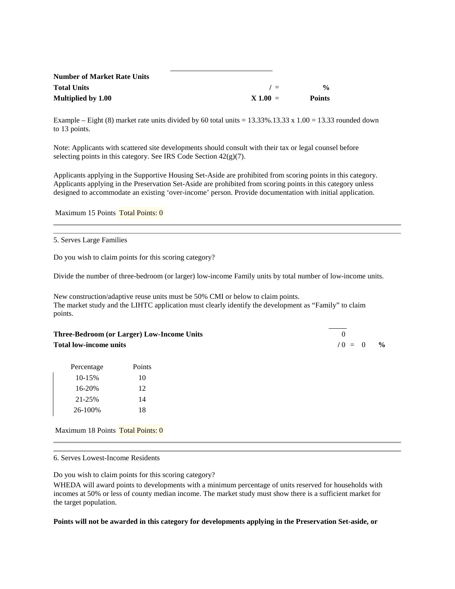| <b>Number of Market Rate Units</b> |            |               |
|------------------------------------|------------|---------------|
| <b>Total Units</b>                 | $\prime =$ | $\frac{0}{0}$ |
| Multiplied by 1.00                 | $X 1.00 =$ | <b>Points</b> |

Example – Eight (8) market rate units divided by 60 total units =  $13.33\%$ .13.33 x 1.00 = 13.33 rounded down to 13 points.

Note: Applicants with scattered site developments should consult with their tax or legal counsel before selecting points in this category. See IRS Code Section 42(g)(7).

Applicants applying in the Supportive Housing Set-Aside are prohibited from scoring points in this category. Applicants applying in the Preservation Set-Aside are prohibited from scoring points in this category unless designed to accommodate an existing 'over-income' person. Provide documentation with initial application.

Maximum 15 Points Total Points: 0

5. Serves Large Families

Do you wish to claim points for this scoring category?

Divide the number of three-bedroom (or larger) low-income Family units by total number of low-income units.

New construction/adaptive reuse units must be 50% CMI or below to claim points. The market study and the LIHTC application must clearly identify the development as "Family" to claim points.

**Three-Bedroom (or Larger) Low-Income Units** 0 **Total low-income units /** 0 = 0 **%**

| Percentage | Points |
|------------|--------|
| 10-15%     | 10     |
| 16-20%     | 12     |
| 21-25%     | 14     |
| 26-100%    | 18     |

Maximum 18 Points Total Points: 0

6. Serves Lowest-Income Residents

Do you wish to claim points for this scoring category?

WHEDA will award points to developments with a minimum percentage of units reserved for households with incomes at 50% or less of county median income. The market study must show there is a sufficient market for the target population.

#### **Points will not be awarded in this category for developments applying in the Preservation Set-aside, or**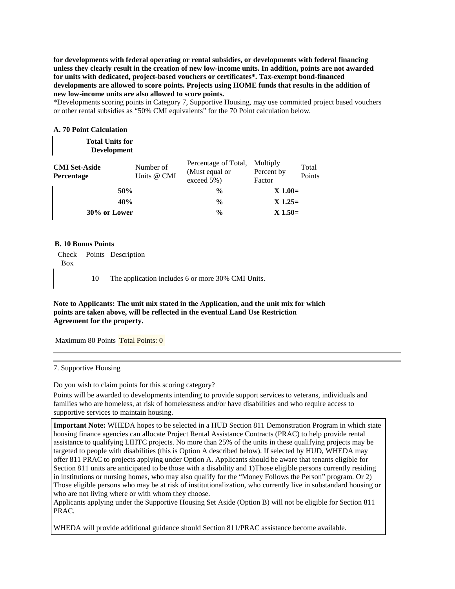**for developments with federal operating or rental subsidies, or developments with federal financing unless they clearly result in the creation of new low-income units. In addition, points are not awarded for units with dedicated, project-based vouchers or certificates\*. Tax-exempt bond-financed developments are allowed to score points. Projects using HOME funds that results in the addition of new low-income units are also allowed to score points.**

\*Developments scoring points in Category 7, Supportive Housing, may use committed project based vouchers or other rental subsidies as "50% CMI equivalents" for the 70 Point calculation below.

#### **A. 70 Point Calculation**

| <b>Total Units for</b><br><b>Development</b> |                          |                                                      |                                  |                 |
|----------------------------------------------|--------------------------|------------------------------------------------------|----------------------------------|-----------------|
| <b>CMI Set-Aside</b><br>Percentage           | Number of<br>Units @ CMI | Percentage of Total,<br>(Must equal or<br>exceed 5%) | Multiply<br>Percent by<br>Factor | Total<br>Points |
|                                              | 50%                      | $\frac{0}{0}$                                        | $X 1.00=$                        |                 |
|                                              | 40%                      | $\frac{0}{0}$                                        | $X$ 1.25=                        |                 |
| 30% or Lower                                 |                          | $\frac{0}{0}$                                        | $X$ 1.50=                        |                 |

#### **B. 10 Bonus Points**

Check Points Description Box

10 The application includes 6 or more 30% CMI Units.

## **Note to Applicants: The unit mix stated in the Application, and the unit mix for which points are taken above, will be reflected in the eventual Land Use Restriction Agreement for the property.**

Maximum 80 Points Total Points: 0

7. Supportive Housing

Do you wish to claim points for this scoring category?

Points will be awarded to developments intending to provide support services to veterans, individuals and families who are homeless, at risk of homelessness and/or have disabilities and who require access to supportive services to maintain housing.

**Important Note:** WHEDA hopes to be selected in a HUD Section 811 Demonstration Program in which state housing finance agencies can allocate Project Rental Assistance Contracts (PRAC) to help provide rental assistance to qualifying LIHTC projects. No more than 25% of the units in these qualifying projects may be targeted to people with disabilities (this is Option A described below). If selected by HUD, WHEDA may offer 811 PRAC to projects applying under Option A. Applicants should be aware that tenants eligible for Section 811 units are anticipated to be those with a disability and 1)Those eligible persons currently residing in institutions or nursing homes, who may also qualify for the "Money Follows the Person" program. Or 2) Those eligible persons who may be at risk of institutionalization, who currently live in substandard housing or who are not living where or with whom they choose.

Applicants applying under the Supportive Housing Set Aside (Option B) will not be eligible for Section 811 PRAC.

WHEDA will provide additional guidance should Section 811/PRAC assistance become available.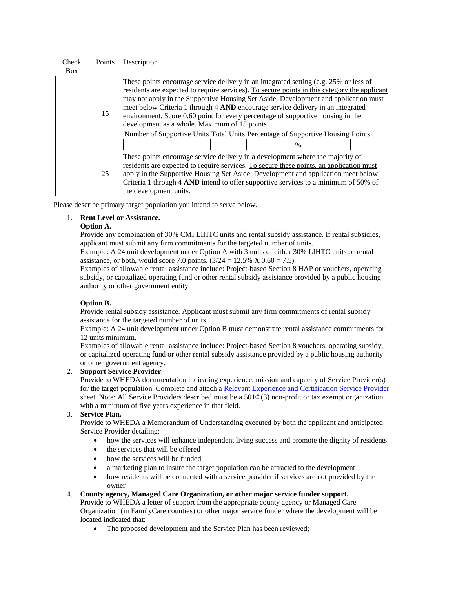Check Points Description

|    | These points encourage service delivery in an integrated setting (e.g. 25% or less of        |
|----|----------------------------------------------------------------------------------------------|
|    | residents are expected to require services). To secure points in this category the applicant |
|    | may not apply in the Supportive Housing Set Aside. Development and application must          |
|    | meet below Criteria 1 through 4 AND encourage service delivery in an integrated              |
| 15 | environment. Score 0.60 point for every percentage of supportive housing in the              |
|    | development as a whole. Maximum of 15 points                                                 |
|    | Number of Supportive Units Total Units Percentage of Supportive Housing Points               |
|    |                                                                                              |
|    | These points encourage service delivery in a development where the majority of               |
|    | residents are expected to require services. To secure these points, an application must      |
| 25 | apply in the Supportive Housing Set Aside. Development and application meet below            |
|    | Criteria 1 through 4 AND intend to offer supportive services to a minimum of 50% of          |
|    | the development units.                                                                       |

Please describe primary target population you intend to serve below.

# 1. **Rent Level or Assistance.**

#### **Option A.**

Provide any combination of 30% CMI LIHTC units and rental subsidy assistance. If rental subsidies, applicant must submit any firm commitments for the targeted number of units.

Example: A 24 unit development under Option A with 3 units of either 30% LIHTC units or rental assistance, or both, would score 7.0 points.  $(3/24 = 12.5\% \times 0.60 = 7.5)$ .

Examples of allowable rental assistance include: Project-based Section 8 HAP or vouchers, operating subsidy, or capitalized operating fund or other rental subsidy assistance provided by a public housing authority or other government entity.

# **Option B.**

Provide rental subsidy assistance. Applicant must submit any firm commitments of rental subsidy assistance for the targeted number of units.

Example: A 24 unit development under Option B must demonstrate rental assistance commitments for 12 units minimum.

Examples of allowable rental assistance include: Project-based Section 8 vouchers, operating subsidy, or capitalized operating fund or other rental subsidy assistance provided by a public housing authority or other government agency.

# 2. **Support Service Provider**.

Provide to WHEDA documentation indicating experience, mission and capacity of Service Provider(s) for the target population. Complete and attach a [Relevant Experience and Certification Service Provider](http://www.wheda.com/root/uploadedFiles/Website/Wheda_Products/LIHTC/LIHTC_Appendices/Dev%20Team%20Exp%20Forms_13.pdf) sheet. Note: All Service Providers described must be a 501©(3) non-profit or tax exempt organization with a minimum of five years experience in that field.

# 3. **Service Plan.**

Provide to WHEDA a Memorandum of Understanding executed by both the applicant and anticipated Service Provider detailing:

- how the services will enhance independent living success and promote the dignity of residents
- the services that will be offered
- how the services will be funded
- a marketing plan to insure the target population can be attracted to the development
- how residents will be connected with a service provider if services are not provided by the owner
- 4. **County agency, Managed Care Organization, or other major service funder support.**

Provide to WHEDA a letter of support from the appropriate county agency or Managed Care Organization (in FamilyCare counties) or other major service funder where the development will be located indicated that:

• The proposed development and the Service Plan has been reviewed;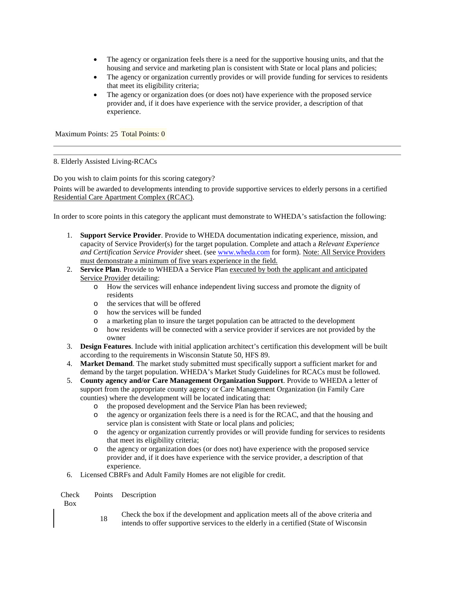- The agency or organization feels there is a need for the supportive housing units, and that the housing and service and marketing plan is consistent with State or local plans and policies;
- The agency or organization currently provides or will provide funding for services to residents that meet its eligibility criteria;
- The agency or organization does (or does not) have experience with the proposed service provider and, if it does have experience with the service provider, a description of that experience.

Maximum Points: 25 Total Points: 0

8. Elderly Assisted Living-RCACs

Do you wish to claim points for this scoring category?

Points will be awarded to developments intending to provide supportive services to elderly persons in a certified Residential Care Apartment Complex (RCAC).

In order to score points in this category the applicant must demonstrate to WHEDA's satisfaction the following:

- 1. **Support Service Provider**. Provide to WHEDA documentation indicating experience, mission, and capacity of Service Provider(s) for the target population. Complete and attach a *Relevant Experience and Certification Service Provider* sheet. (see [www.wheda.com](http://www.wheda.com/) for form). Note: All Service Providers must demonstrate a minimum of five years experience in the field.
- 2. **Service Plan**. Provide to WHEDA a Service Plan executed by both the applicant and anticipated Service Provider detailing:
	- o How the services will enhance independent living success and promote the dignity of residents
	- o the services that will be offered
	-
	- o how the services will be funded a marketing plan to insure the target population can be attracted to the development
	- o how residents will be connected with a service provider if services are not provided by the owner
- 3. **Design Features**. Include with initial application architect's certification this development will be built according to the requirements in Wisconsin Statute 50, HFS 89.
- 4. **Market Demand**. The market study submitted must specifically support a sufficient market for and demand by the target population. WHEDA's Market Study Guidelines for RCACs must be followed.
- 5. **County agency and/or Care Management Organization Support**. Provide to WHEDA a letter of support from the appropriate county agency or Care Management Organization (in Family Care counties) where the development will be located indicating that:
	-
	- o the proposed development and the Service Plan has been reviewed; the agency or organization feels there is a need is for the RCAC, and that the housing and service plan is consistent with State or local plans and policies;
	- o the agency or organization currently provides or will provide funding for services to residents that meet its eligibility criteria;
	- o the agency or organization does (or does not) have experience with the proposed service provider and, if it does have experience with the service provider, a description of that experience.
- 6. Licensed CBRFs and Adult Family Homes are not eligible for credit.

Check Points Description

Box

<sup>18</sup> Check the box if the development and application meets all of the above criteria and intends to offer supportive services to the elderly in a certified (State of Wisconsin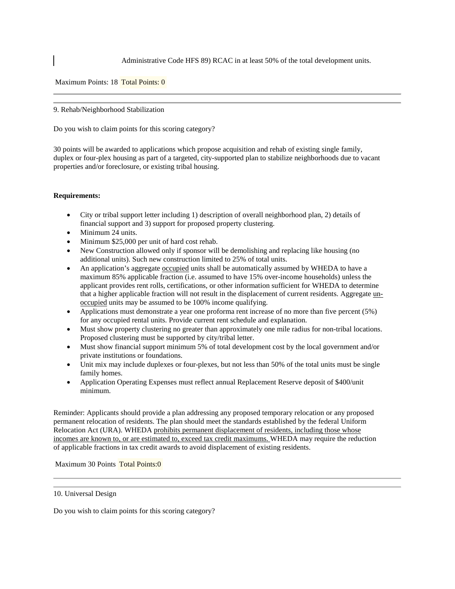Administrative Code HFS 89) RCAC in at least 50% of the total development units.

Maximum Points: 18 Total Points: 0

#### 9. Rehab/Neighborhood Stabilization

Do you wish to claim points for this scoring category?

30 points will be awarded to applications which propose acquisition and rehab of existing single family, duplex or four-plex housing as part of a targeted, city-supported plan to stabilize neighborhoods due to vacant properties and/or foreclosure, or existing tribal housing.

## **Requirements:**

- City or tribal support letter including 1) description of overall neighborhood plan, 2) details of financial support and 3) support for proposed property clustering.
- Minimum 24 units.
- Minimum \$25,000 per unit of hard cost rehab.
- New Construction allowed only if sponsor will be demolishing and replacing like housing (no additional units). Such new construction limited to 25% of total units.
- An application's aggregate occupied units shall be automatically assumed by WHEDA to have a maximum 85% applicable fraction (i.e. assumed to have 15% over-income households) unless the applicant provides rent rolls, certifications, or other information sufficient for WHEDA to determine that a higher applicable fraction will not result in the displacement of current residents. Aggregate unoccupied units may be assumed to be 100% income qualifying.
- Applications must demonstrate a year one proforma rent increase of no more than five percent (5%) for any occupied rental units. Provide current rent schedule and explanation.
- Must show property clustering no greater than approximately one mile radius for non-tribal locations. Proposed clustering must be supported by city/tribal letter.
- Must show financial support minimum 5% of total development cost by the local government and/or private institutions or foundations.
- Unit mix may include duplexes or four-plexes, but not less than 50% of the total units must be single family homes.
- Application Operating Expenses must reflect annual Replacement Reserve deposit of \$400/unit minimum.

Reminder: Applicants should provide a plan addressing any proposed temporary relocation or any proposed permanent relocation of residents. The plan should meet the standards established by the federal Uniform Relocation Act (URA). WHEDA prohibits permanent displacement of residents, including those whose incomes are known to, or are estimated to, exceed tax credit maximums. WHEDA may require the reduction of applicable fractions in tax credit awards to avoid displacement of existing residents.

Maximum 30 Points Total Points:0

10. Universal Design

Do you wish to claim points for this scoring category?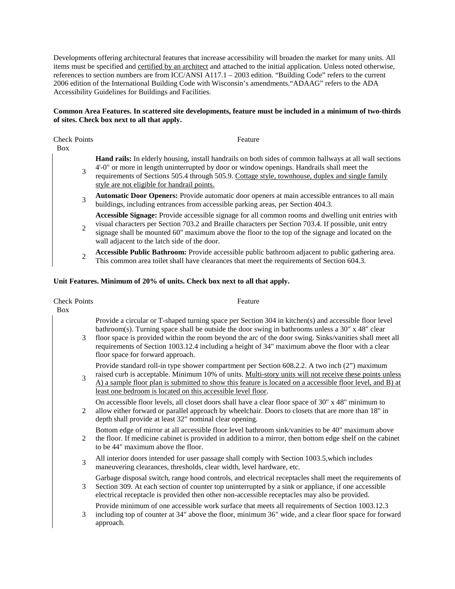Developments offering architectural features that increase accessibility will broaden the market for many units. All items must be specified and certified by an architect and attached to the initial application. Unless noted otherwise, references to section numbers are from ICC/ANSI A117.1 – 2003 edition. "Building Code" refers to the current 2006 edition of the International Building Code with Wisconsin's amendments."ADAAG" refers to the ADA Accessibility Guidelines for Buildings and Facilities.

# **Common Area Features. In scattered site developments, feature must be included in a minimum of two-thirds of sites. Check box next to all that apply.**

**Check Points** Box Points Feature

**Hand rails:** In elderly housing, install handrails on both sides of common hallways at all wall sections 4'-0" or more in length uninterrupted by door or window openings. Handrails shall meet the

- 3 requirements of Sections 505.4 through 505.9. Cottage style, townhouse, duplex and single family style are not eligible for handrail points.
- **Automatic Door Openers:** Provide automatic door openers at main accessible entrances to all main buildings, including entrances from accessible parking areas, per Section 404.3.

**Accessible Signage:** Provide accessible signage for all common rooms and dwelling unit entries with

- 2 visual characters per Section 703.2 and Braille characters per Section 703.4. If possible, unit entry signage shall be mounted 60" maximum above the floor to the top of the signage and located on the wall adjacent to the latch side of the door.
- **Accessible Public Bathroom:** Provide accessible public bathroom adjacent to public gathering area. This common area toilet shall have clearances that meet the requirements of Section 604.3.

# **Unit Features. Minimum of 20% of units. Check box next to all that apply.**

| <b>Check Points</b> | Feature                                                                                                                                                                                                                                                                                                                                                                                                                                                       |
|---------------------|---------------------------------------------------------------------------------------------------------------------------------------------------------------------------------------------------------------------------------------------------------------------------------------------------------------------------------------------------------------------------------------------------------------------------------------------------------------|
| <b>Box</b><br>3     | Provide a circular or T-shaped turning space per Section 304 in kitchen(s) and accessible floor level<br>bathroom(s). Turning space shall be outside the door swing in bathrooms unless a 30" x 48" clear<br>floor space is provided within the room beyond the arc of the door swing. Sinks/vanities shall meet all<br>requirements of Section 1003.12.4 including a height of 34" maximum above the floor with a clear<br>floor space for forward approach. |
| 3                   | Provide standard roll-in type shower compartment per Section $608.2.2$ . A two inch $(2")$ maximum<br>raised curb is acceptable. Minimum 10% of units. Multi-story units will not receive these points unless<br>A) a sample floor plan is submitted to show this feature is located on a accessible floor level, and B) at<br>least one bedroom is located on this accessible level floor.                                                                   |
| 2                   | On accessible floor levels, all closet doors shall have a clear floor space of 30" x 48" minimum to<br>allow either forward or parallel approach by wheelchair. Doors to closets that are more than 18" in<br>depth shall provide at least 32" nominal clear opening.                                                                                                                                                                                         |
| 2                   | Bottom edge of mirror at all accessible floor level bathroom sink/vanities to be 40" maximum above<br>the floor. If medicine cabinet is provided in addition to a mirror, then bottom edge shelf on the cabinet<br>to be 44" maximum above the floor.                                                                                                                                                                                                         |
| $\overline{3}$      | All interior doors intended for user passage shall comply with Section 1003.5, which includes<br>maneuvering clearances, thresholds, clear width, level hardware, etc.                                                                                                                                                                                                                                                                                        |
| 3                   | Garbage disposal switch, range hood controls, and electrical receptacles shall meet the requirements of<br>Section 309. At each section of counter top uninterrupted by a sink or appliance, if one accessible<br>electrical receptacle is provided then other non-accessible receptacles may also be provided.                                                                                                                                               |
| 3                   | Provide minimum of one accessible work surface that meets all requirements of Section 1003.12.3<br>including top of counter at 34" above the floor, minimum 36" wide, and a clear floor space for forward<br>approach.                                                                                                                                                                                                                                        |
|                     |                                                                                                                                                                                                                                                                                                                                                                                                                                                               |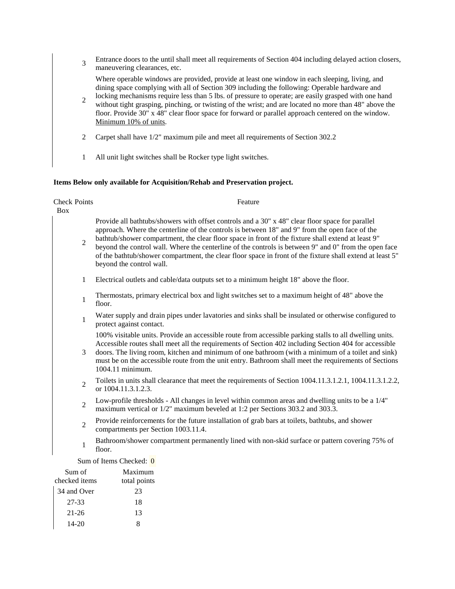<sup>3</sup> Entrance doors to the until shall meet all requirements of Section 404 including delayed action closers, maneuvering clearances, etc.

Where operable windows are provided, provide at least one window in each sleeping, living, and dining space complying with all of Section 309 including the following: Operable hardware and

- $\mathcal{L}$ locking mechanisms require less than 5 lbs. of pressure to operate; are easily grasped with one hand without tight grasping, pinching, or twisting of the wrist; and are located no more than 48" above the floor. Provide 30" x 48" clear floor space for forward or parallel approach centered on the window. Minimum 10% of units.
- 2 Carpet shall have 1/2" maximum pile and meet all requirements of Section 302.2
- 1 All unit light switches shall be Rocker type light switches.

#### **Items Below only available for Acquisition/Rehab and Preservation project.**

**Check Points** Box Points Feature 2 Provide all bathtubs/showers with offset controls and a 30" x 48" clear floor space for parallel approach. Where the centerline of the controls is between 18" and 9" from the open face of the bathtub/shower compartment, the clear floor space in front of the fixture shall extend at least 9" beyond the control wall. Where the centerline of the controls is between 9" and 0" from the open face of the bathtub/shower compartment, the clear floor space in front of the fixture shall extend at least 5" beyond the control wall. 1 Electrical outlets and cable/data outputs set to a minimum height 18" above the floor. 1 Thermostats, primary electrical box and light switches set to a maximum height of 48" above the floor. <sup>1</sup> Water supply and drain pipes under lavatories and sinks shall be insulated or otherwise configured to protect against contact. 3 100% visitable units. Provide an accessible route from accessible parking stalls to all dwelling units. Accessible routes shall meet all the requirements of Section 402 including Section 404 for accessible doors. The living room, kitchen and minimum of one bathroom (with a minimum of a toilet and sink) must be on the accessible route from the unit entry. Bathroom shall meet the requirements of Sections 1004.11 minimum. 2 Toilets in units shall clearance that meet the requirements of Section 1004.11.3.1.2.1, 1004.11.3.1.2.2, or 1004.11.3.1.2.3. 2 Low-profile thresholds - All changes in level within common areas and dwelling units to be a 1/4" maximum vertical or 1/2" maximum beveled at 1:2 per Sections 303.2 and 303.3. 2 Provide reinforcements for the future installation of grab bars at toilets, bathtubs, and shower compartments per Section 1003.11.4. <sup>1</sup> Bathroom/shower compartment permanently lined with non-skid surface or pattern covering 75% of floor. Sum of Items Checked: 0

| Sum of<br>checked items | Maximum<br>total points |
|-------------------------|-------------------------|
| 34 and Over             | 23                      |
| 27-33                   | 18                      |
| $21 - 26$               | 13                      |
| $14 - 20$               |                         |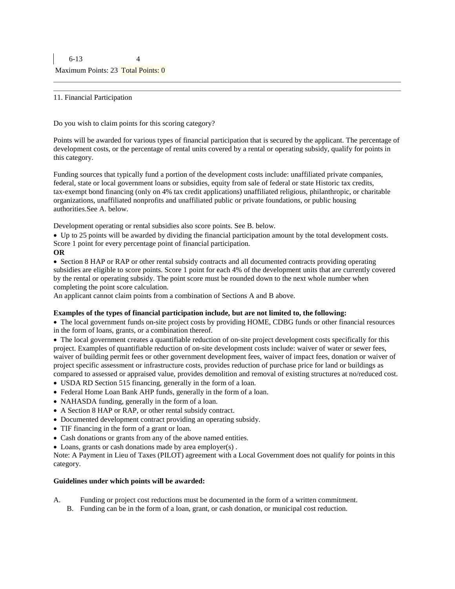#### 11. Financial Participation

Do you wish to claim points for this scoring category?

Points will be awarded for various types of financial participation that is secured by the applicant. The percentage of development costs, or the percentage of rental units covered by a rental or operating subsidy, qualify for points in this category.

Funding sources that typically fund a portion of the development costs include: unaffiliated private companies, federal, state or local government loans or subsidies, equity from sale of federal or state Historic tax credits, tax‐exempt bond financing (only on 4% tax credit applications) unaffiliated religious, philanthropic, or charitable organizations, unaffiliated nonprofits and unaffiliated public or private foundations, or public housing authorities.See A. below.

Development operating or rental subsidies also score points. See B. below.

• Up to 25 points will be awarded by dividing the financial participation amount by the total development costs. Score 1 point for every percentage point of financial participation.

## **OR**

• Section 8 HAP or RAP or other rental subsidy contracts and all documented contracts providing operating subsidies are eligible to score points. Score 1 point for each 4% of the development units that are currently covered by the rental or operating subsidy. The point score must be rounded down to the next whole number when completing the point score calculation.

An applicant cannot claim points from a combination of Sections A and B above.

# **Examples of the types of financial participation include, but are not limited to, the following:**

• The local government funds on-site project costs by providing HOME, CDBG funds or other financial resources in the form of loans, grants, or a combination thereof.

• The local government creates a quantifiable reduction of on-site project development costs specifically for this project. Examples of quantifiable reduction of on‐site development costs include: waiver of water or sewer fees, waiver of building permit fees or other government development fees, waiver of impact fees, donation or waiver of project specific assessment or infrastructure costs, provides reduction of purchase price for land or buildings as compared to assessed or appraised value, provides demolition and removal of existing structures at no/reduced cost.

- USDA RD Section 515 financing, generally in the form of a loan.
- Federal Home Loan Bank AHP funds, generally in the form of a loan.
- NAHASDA funding, generally in the form of a loan.
- A Section 8 HAP or RAP, or other rental subsidy contract.
- Documented development contract providing an operating subsidy.
- TIF financing in the form of a grant or loan.
- Cash donations or grants from any of the above named entities.
- Loans, grants or cash donations made by area employer(s) .

Note: A Payment in Lieu of Taxes (PILOT) agreement with a Local Government does not qualify for points in this category.

#### **Guidelines under which points will be awarded:**

- A. Funding or project cost reductions must be documented in the form of a written commitment.
	- B. Funding can be in the form of a loan, grant, or cash donation, or municipal cost reduction.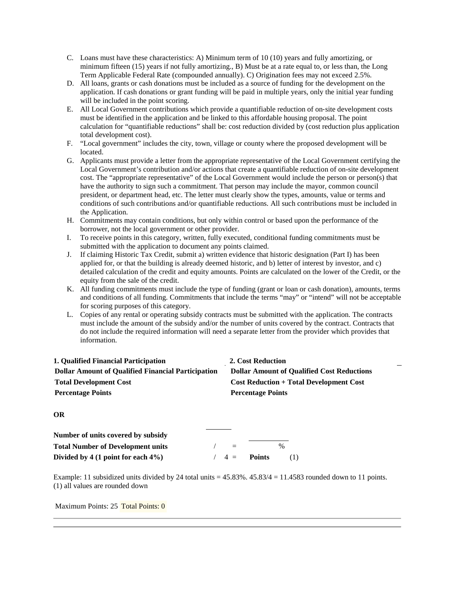- C. Loans must have these characteristics: A) Minimum term of 10 (10) years and fully amortizing, or minimum fifteen (15) years if not fully amortizing., B) Must be at a rate equal to, or less than, the Long Term Applicable Federal Rate (compounded annually). C) Origination fees may not exceed 2.5%.
- D. All loans, grants or cash donations must be included as a source of funding for the development on the application. If cash donations or grant funding will be paid in multiple years, only the initial year funding will be included in the point scoring.
- E. All Local Government contributions which provide a quantifiable reduction of on‐site development costs must be identified in the application and be linked to this affordable housing proposal. The point calculation for "quantifiable reductions" shall be: cost reduction divided by (cost reduction plus application total development cost).
- F. "Local government" includes the city, town, village or county where the proposed development will be located.
- G. Applicants must provide a letter from the appropriate representative of the Local Government certifying the Local Government's contribution and/or actions that create a quantifiable reduction of on-site development cost. The "appropriate representative" of the Local Government would include the person or person(s) that have the authority to sign such a commitment. That person may include the mayor, common council president, or department head, etc. The letter must clearly show the types, amounts, value or terms and conditions of such contributions and/or quantifiable reductions. All such contributions must be included in the Application.
- H. Commitments may contain conditions, but only within control or based upon the performance of the borrower, not the local government or other provider.
- I. To receive points in this category, written, fully executed, conditional funding commitments must be submitted with the application to document any points claimed.
- J. If claiming Historic Tax Credit, submit a) written evidence that historic designation (Part I) has been applied for, or that the building is already deemed historic, and b) letter of interest by investor, and c) detailed calculation of the credit and equity amounts. Points are calculated on the lower of the Credit, or the equity from the sale of the credit.
- K. All funding commitments must include the type of funding (grant or loan or cash donation), amounts, terms and conditions of all funding. Commitments that include the terms "may" or "intend" will not be acceptable for scoring purposes of this category.
- L. Copies of any rental or operating subsidy contracts must be submitted with the application. The contracts must include the amount of the subsidy and/or the number of units covered by the contract. Contracts that do not include the required information will need a separate letter from the provider which provides that information.

| 1. Qualified Financial Participation                      | 2. Cost Reduction                                 |
|-----------------------------------------------------------|---------------------------------------------------|
| <b>Dollar Amount of Qualified Financial Participation</b> | <b>Dollar Amount of Qualified Cost Reductions</b> |
| <b>Total Development Cost</b>                             | <b>Cost Reduction + Total Development Cost</b>    |
| <b>Percentage Points</b>                                  | <b>Percentage Points</b>                          |
|                                                           |                                                   |
| <b>OR</b>                                                 |                                                   |

| Number of units covered by subsidy       |                 |               |      |
|------------------------------------------|-----------------|---------------|------|
| <b>Total Number of Development units</b> | $-$             |               | $\%$ |
| Divided by 4 $(1$ point for each $4\%)$  | $\frac{1}{4}$ = | <b>Points</b> | (1)  |

Example: 11 subsidized units divided by 24 total units  $= 45.83\%$ .  $45.83/4 = 11.4583$  rounded down to 11 points. (1) all values are rounded down

Maximum Points: 25 Total Points: 0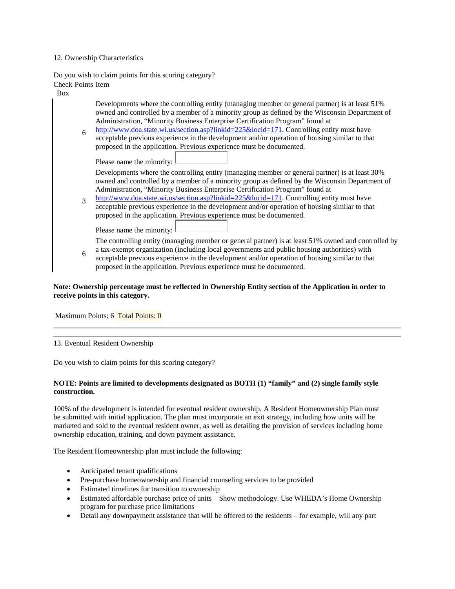## 12. Ownership Characteristics

Do you wish to claim points for this scoring category? Check Points Item

Box

Developments where the controlling entity (managing member or general partner) is at least 51% owned and controlled by a member of a minority group as defined by the Wisconsin Department of Administration, "Minority Business Enterprise Certification Program" found at

6 [http://www.doa.state.wi.us/section.asp?linkid=225&locid=171.](http://www.doa.state.wi.us/section.asp?linkid=225&locid=171) Controlling entity must have acceptable previous experience in the development and/or operation of housing similar to that proposed in the application. Previous experience must be documented.

Please name the minority:

Developments where the controlling entity (managing member or general partner) is at least 30% owned and controlled by a member of a minority group as defined by the Wisconsin Department of Administration, "Minority Business Enterprise Certification Program" found at

3 [http://www.doa.state.wi.us/section.asp?linkid=225&locid=171.](http://www.doa.state.wi.us/section.asp?linkid=225&locid=171) Controlling entity must have acceptable previous experience in the development and/or operation of housing similar to that proposed in the application. Previous experience must be documented.

Please name the minority:  $\mathbb{L}$ 

The controlling entity (managing member or general partner) is at least 51% owned and controlled by

6 a tax-exempt organization (including local governments and public housing authorities) with acceptable previous experience in the development and/or operation of housing similar to that proposed in the application. Previous experience must be documented.

# **Note: Ownership percentage must be reflected in Ownership Entity section of the Application in order to receive points in this category.**

Maximum Points: 6 Total Points: 0

13. Eventual Resident Ownership

Do you wish to claim points for this scoring category?

# **NOTE: Points are limited to developments designated as BOTH (1) "family" and (2) single family style construction.**

100% of the development is intended for eventual resident ownership. A Resident Homeownership Plan must be submitted with initial application. The plan must incorporate an exit strategy, including how units will be marketed and sold to the eventual resident owner, as well as detailing the provision of services including home ownership education, training, and down payment assistance.

The Resident Homeownership plan must include the following:

- Anticipated tenant qualifications
- Pre-purchase homeownership and financial counseling services to be provided
- Estimated timelines for transition to ownership
- Estimated affordable purchase price of units Show methodology. Use WHEDA's Home Ownership program for purchase price limitations
- Detail any downpayment assistance that will be offered to the residents for example, will any part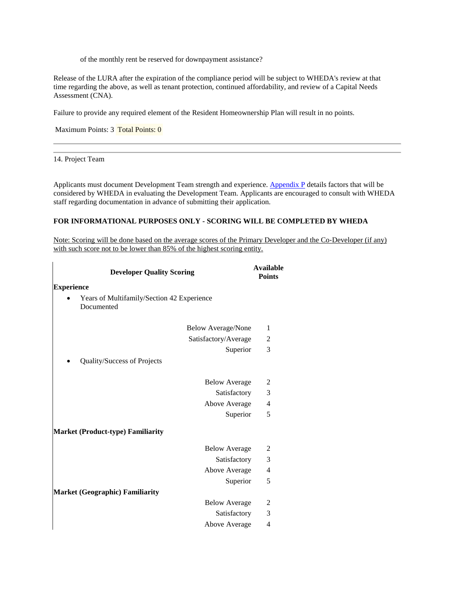of the monthly rent be reserved for downpayment assistance?

Release of the LURA after the expiration of the compliance period will be subject to WHEDA's review at that time regarding the above, as well as tenant protection, continued affordability, and review of a Capital Needs Assessment (CNA).

Failure to provide any required element of the Resident Homeownership Plan will result in no points.

Maximum Points: 3 Total Points: 0

14. Project Team

 $\mathbf{I}$ 

Applicants must document Development Team strength and experience. [Appendix P](https://www.wheda.com/uploadedFiles/Website/Wheda_Products/LIHTC/LIHTC_Appendices/Appx%20P_13.pdf) details factors that will be considered by WHEDA in evaluating the Development Team. Applicants are encouraged to consult with WHEDA staff regarding documentation in advance of submitting their application.

# **FOR INFORMATIONAL PURPOSES ONLY - SCORING WILL BE COMPLETED BY WHEDA**

Note: Scoring will be done based on the average scores of the Primary Developer and the Co‐Developer (if any) with such score not to be lower than 85% of the highest scoring entity.

| <b>Developer Quality Scoring</b>                         | <b>Available</b><br><b>Points</b> |
|----------------------------------------------------------|-----------------------------------|
| <b>Experience</b>                                        |                                   |
| Years of Multifamily/Section 42 Experience<br>Documented |                                   |
| <b>Below Average/None</b>                                | 1                                 |
| Satisfactory/Average                                     | 2                                 |
| Superior                                                 | 3                                 |
| Quality/Success of Projects                              |                                   |
| <b>Below Average</b>                                     | 2                                 |
| Satisfactory                                             | 3                                 |
| Above Average                                            | 4                                 |
| Superior                                                 | 5                                 |
| <b>Market (Product-type) Familiarity</b>                 |                                   |
| <b>Below Average</b>                                     | $\overline{2}$                    |
| Satisfactory                                             | 3                                 |
| Above Average                                            | 4                                 |
| Superior                                                 | 5                                 |
| <b>Market (Geographic) Familiarity</b>                   |                                   |
| <b>Below Average</b>                                     | 2                                 |
| Satisfactory                                             | 3                                 |
| Above Average                                            | 4                                 |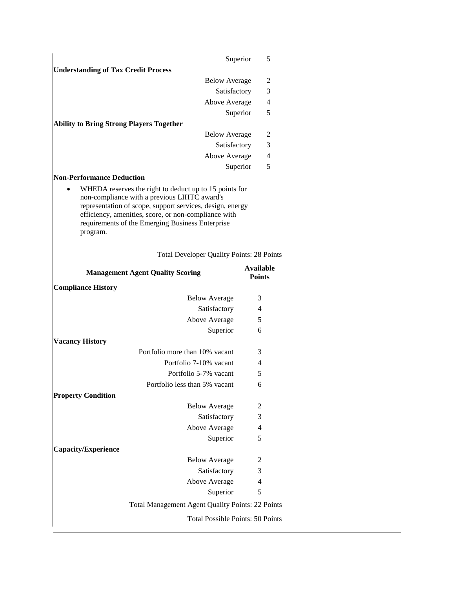|                                                                                                                                                                                                                                   |                                   | 5              |
|-----------------------------------------------------------------------------------------------------------------------------------------------------------------------------------------------------------------------------------|-----------------------------------|----------------|
| Superior                                                                                                                                                                                                                          |                                   |                |
| <b>Understanding of Tax Credit Process</b>                                                                                                                                                                                        |                                   |                |
| <b>Below Average</b>                                                                                                                                                                                                              |                                   | 2              |
| Satisfactory                                                                                                                                                                                                                      |                                   | 3              |
| Above Average                                                                                                                                                                                                                     |                                   | $\overline{4}$ |
| Superior                                                                                                                                                                                                                          |                                   | 5              |
| <b>Ability to Bring Strong Players Together</b>                                                                                                                                                                                   |                                   |                |
| <b>Below Average</b>                                                                                                                                                                                                              |                                   | 2              |
| Satisfactory                                                                                                                                                                                                                      |                                   | 3              |
| Above Average                                                                                                                                                                                                                     |                                   | $\overline{4}$ |
| Superior                                                                                                                                                                                                                          |                                   | 5              |
| <b>Non-Performance Deduction</b><br>WHEDA reserves the right to deduct up to 15 points for                                                                                                                                        |                                   |                |
| non-compliance with a previous LIHTC award's<br>representation of scope, support services, design, energy<br>efficiency, amenities, score, or non-compliance with<br>requirements of the Emerging Business Enterprise<br>program. |                                   |                |
| <b>Total Developer Quality Points: 28 Points</b>                                                                                                                                                                                  |                                   |                |
| <b>Management Agent Quality Scoring</b>                                                                                                                                                                                           | <b>Available</b><br><b>Points</b> |                |
|                                                                                                                                                                                                                                   |                                   |                |
| <b>Compliance History</b>                                                                                                                                                                                                         |                                   |                |
| <b>Below Average</b>                                                                                                                                                                                                              | 3                                 |                |
| Satisfactory                                                                                                                                                                                                                      | 4                                 |                |
| Above Average                                                                                                                                                                                                                     | 5                                 |                |
| Superior                                                                                                                                                                                                                          | 6                                 |                |
| <b>Vacancy History</b>                                                                                                                                                                                                            |                                   |                |
| Portfolio more than 10% vacant                                                                                                                                                                                                    | 3                                 |                |
| Portfolio 7-10% vacant                                                                                                                                                                                                            | 4                                 |                |
| Portfolio 5-7% vacant                                                                                                                                                                                                             | 5                                 |                |
| Portfolio less than 5% vacant                                                                                                                                                                                                     | 6                                 |                |
| <b>Property Condition</b>                                                                                                                                                                                                         |                                   |                |
| <b>Below Average</b>                                                                                                                                                                                                              | 2                                 |                |
| Satisfactory                                                                                                                                                                                                                      | 3                                 |                |
| Above Average                                                                                                                                                                                                                     | 4                                 |                |
| Superior                                                                                                                                                                                                                          | 5                                 |                |
| <b>Capacity/Experience</b>                                                                                                                                                                                                        |                                   |                |
| <b>Below Average</b>                                                                                                                                                                                                              | 2                                 |                |
| Satisfactory                                                                                                                                                                                                                      | 3                                 |                |
| Above Average                                                                                                                                                                                                                     | 4                                 |                |
| Superior                                                                                                                                                                                                                          | 5                                 |                |

Total Possible Points: 50 Points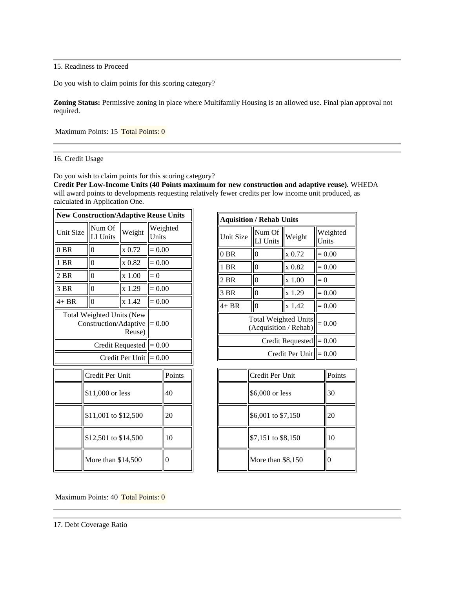15. Readiness to Proceed

Do you wish to claim points for this scoring category?

**Zoning Status:** Permissive zoning in place where Multifamily Housing is an allowed use. Final plan approval not required.

Maximum Points: 15 Total Points: 0

## 16. Credit Usage

Do you wish to claim points for this scoring category?

**Credit Per Low-Income Units (40 Points maximum for new construction and adaptive reuse).** WHEDA will award points to developments requesting relatively fewer credits per low income unit produced, as calculated in Application One.

| <b>New Construction/Adaptive Reuse Units</b>                                           |                      |        |          |                |
|----------------------------------------------------------------------------------------|----------------------|--------|----------|----------------|
| Unit Size                                                                              | Num Of<br>LI Units   | Weight | Units    | Weighted       |
| $0$ BR                                                                                 | $\overline{0}$       | x 0.72 | $= 0.00$ |                |
| 1 BR                                                                                   | $\theta$             | x 0.82 | $= 0.00$ |                |
| 2 BR                                                                                   | 0                    | x 1.00 | $= 0$    |                |
| 3 BR                                                                                   | 0                    | x 1.29 | $= 0.00$ |                |
| $4+BR$                                                                                 | $\mathbf{0}$         | x 1.42 | $= 0.00$ |                |
| <b>Total Weighted Units (New</b><br>$Construction / Adaptive \n\vert = 0.00$<br>Reuse) |                      |        |          |                |
| Credit Requested $\vert = 0.00$                                                        |                      |        |          |                |
| Credit Per Unit $  =0.00$                                                              |                      |        |          |                |
| Points<br>Credit Per Unit                                                              |                      |        |          |                |
| \$11,000 or less                                                                       |                      |        |          | 40             |
| \$11,001 to \$12,500                                                                   |                      |        |          | 20             |
|                                                                                        | \$12,501 to \$14,500 |        |          | 10             |
| More than \$14,500                                                                     |                      |        |          | $\overline{0}$ |

| <b>Aquisition / Rehab Units</b>                      |                    |        |                   |
|------------------------------------------------------|--------------------|--------|-------------------|
| Unit Size                                            | Num Of<br>LI Units | Weight | Weighted<br>Units |
| $0$ BR                                               | $\Omega$           | x 0.72 | $= 0.00$          |
| 1 BR                                                 | 0                  | x 0.82 | $= 0.00$          |
| $2$ BR                                               | 0                  | x 1.00 | $= 0$             |
| 3 BR                                                 | $\theta$           | x 1.29 | $= 0.00$          |
| 4+ BR                                                | $\Omega$           | x 1.42 | $= 0.00$          |
| <b>Total Weighted Units</b><br>(Acquisition / Rehab) | $= 0.00$           |        |                   |
| Credit Requested                                     |                    |        | $= 0.00$          |
| Credit Per Unit $\parallel = 0.00$                   |                    |        |                   |

| Credit Per Unit    | Points |
|--------------------|--------|
| \$6,000 or less    |        |
| \$6,001 to \$7,150 | 20     |
| \$7,151 to \$8,150 | 10     |
| More than \$8,150  |        |

Maximum Points: 40 Total Points: 0

<sup>17.</sup> Debt Coverage Ratio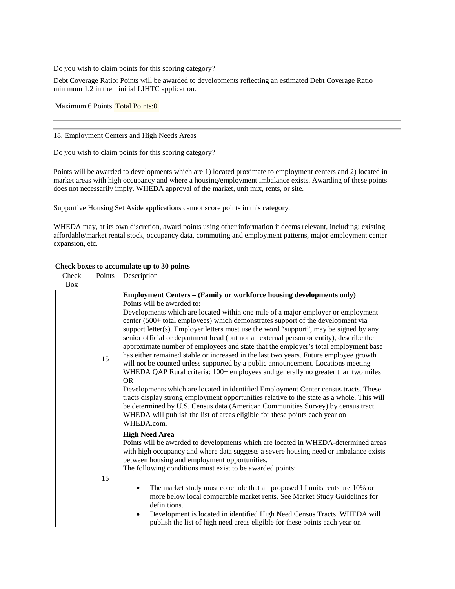Do you wish to claim points for this scoring category?

Debt Coverage Ratio: Points will be awarded to developments reflecting an estimated Debt Coverage Ratio minimum 1.2 in their initial LIHTC application.

Maximum 6 Points Total Points:0

18. Employment Centers and High Needs Areas

Do you wish to claim points for this scoring category?

Points will be awarded to developments which are 1) located proximate to employment centers and 2) located in market areas with high occupancy and where a housing/employment imbalance exists. Awarding of these points does not necessarily imply. WHEDA approval of the market, unit mix, rents, or site.

Supportive Housing Set Aside applications cannot score points in this category.

WHEDA may, at its own discretion, award points using other information it deems relevant, including: existing affordable/market rental stock, occupancy data, commuting and employment patterns, major employment center expansion, etc.

#### **Check boxes to accumulate up to 30 points**

| Check<br><b>Box</b> | Points | Description                                                                                                                                                                                                                                                                                                                                                                                                                                                                                                                                                                                                                                                                                                                                                                                                                                                                                                                                                                                                                                                                                                                                                                                                     |
|---------------------|--------|-----------------------------------------------------------------------------------------------------------------------------------------------------------------------------------------------------------------------------------------------------------------------------------------------------------------------------------------------------------------------------------------------------------------------------------------------------------------------------------------------------------------------------------------------------------------------------------------------------------------------------------------------------------------------------------------------------------------------------------------------------------------------------------------------------------------------------------------------------------------------------------------------------------------------------------------------------------------------------------------------------------------------------------------------------------------------------------------------------------------------------------------------------------------------------------------------------------------|
|                     | 15     | <b>Employment Centers – (Family or workforce housing developments only)</b><br>Points will be awarded to:<br>Developments which are located within one mile of a major employer or employment<br>center (500+ total employees) which demonstrates support of the development via<br>support letter(s). Employer letters must use the word "support", may be signed by any<br>senior official or department head (but not an external person or entity), describe the<br>approximate number of employees and state that the employer's total employment base<br>has either remained stable or increased in the last two years. Future employee growth<br>will not be counted unless supported by a public announcement. Locations meeting<br>WHEDA QAP Rural criteria: 100+ employees and generally no greater than two miles<br><b>OR</b><br>Developments which are located in identified Employment Center census tracts. These<br>tracts display strong employment opportunities relative to the state as a whole. This will<br>be determined by U.S. Census data (American Communities Survey) by census tract.<br>WHEDA will publish the list of areas eligible for these points each year on<br>WHEDA.com. |
|                     |        | <b>High Need Area</b><br>Points will be awarded to developments which are located in WHEDA-determined areas<br>with high occupancy and where data suggests a severe housing need or imbalance exists<br>between housing and employment opportunities.<br>The following conditions must exist to be awarded points:                                                                                                                                                                                                                                                                                                                                                                                                                                                                                                                                                                                                                                                                                                                                                                                                                                                                                              |
|                     | 15     | The market study must conclude that all proposed LI units rents are 10% or<br>٠<br>more below local comparable market rents. See Market Study Guidelines for<br>definitions.                                                                                                                                                                                                                                                                                                                                                                                                                                                                                                                                                                                                                                                                                                                                                                                                                                                                                                                                                                                                                                    |
|                     |        | Development is located in identified High Need Census Tracts. WHEDA will<br>٠<br>publish the list of high need areas eligible for these points each year on                                                                                                                                                                                                                                                                                                                                                                                                                                                                                                                                                                                                                                                                                                                                                                                                                                                                                                                                                                                                                                                     |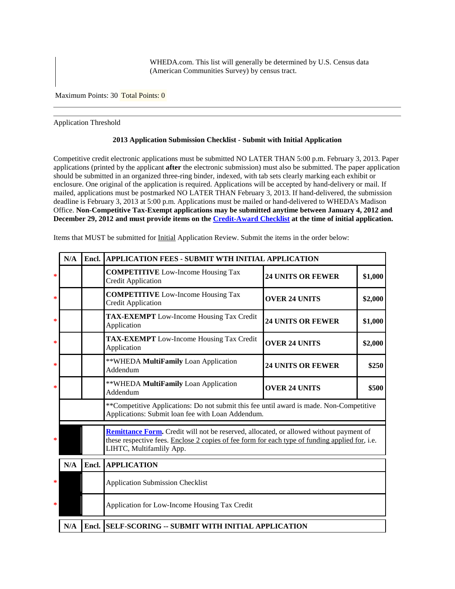WHEDA.com. This list will generally be determined by U.S. Census data (American Communities Survey) by census tract.

Maximum Points: 30 Total Points: 0

Application Threshold

#### **2013 Application Submission Checklist - Submit with Initial Application**

Competitive credit electronic applications must be submitted NO LATER THAN 5:00 p.m. February 3, 2013. Paper applications (printed by the applicant **after** the electronic submission) must also be submitted. The paper application should be submitted in an organized three-ring binder, indexed, with tab sets clearly marking each exhibit or enclosure. One original of the application is required. Applications will be accepted by hand-delivery or mail. If mailed, applications must be postmarked NO LATER THAN February 3, 2013. If hand-delivered, the submission deadline is February 3, 2013 at 5:00 p.m. Applications must be mailed or hand-delivered to WHEDA's Madison Office. **Non-Competitive Tax-Exempt applications may be submitted anytime between January 4, 2012 and December 29, 2012 and must provide items on the [Credit-Award Checklist](https://www.wheda.com/uploadedFiles/Website/Wheda_Products/LIHTC/LIHTC_Appendices/Credit%20Award%20Checklist_13.pdf) at the time of initial application.**

|        | N/A | Encl.                                                                                                                                                                                                                       | APPLICATION FEES - SUBMIT WTH INITIAL APPLICATION                                                                                             |                          |         |
|--------|-----|-----------------------------------------------------------------------------------------------------------------------------------------------------------------------------------------------------------------------------|-----------------------------------------------------------------------------------------------------------------------------------------------|--------------------------|---------|
| ∗      |     |                                                                                                                                                                                                                             | <b>COMPETITIVE</b> Low-Income Housing Tax<br><b>Credit Application</b>                                                                        | <b>24 UNITS OR FEWER</b> | \$1,000 |
| *      |     |                                                                                                                                                                                                                             | <b>COMPETITIVE</b> Low-Income Housing Tax<br><b>Credit Application</b>                                                                        | <b>OVER 24 UNITS</b>     | \$2,000 |
| *      |     |                                                                                                                                                                                                                             | <b>TAX-EXEMPT</b> Low-Income Housing Tax Credit<br>Application                                                                                | <b>24 UNITS OR FEWER</b> | \$1,000 |
| ∗      |     |                                                                                                                                                                                                                             | <b>TAX-EXEMPT</b> Low-Income Housing Tax Credit<br>Application                                                                                | <b>OVER 24 UNITS</b>     | \$2,000 |
| ∗      |     |                                                                                                                                                                                                                             | **WHEDA MultiFamily Loan Application<br>Addendum                                                                                              | <b>24 UNITS OR FEWER</b> | \$250   |
| ∗      |     |                                                                                                                                                                                                                             | **WHEDA MultiFamily Loan Application<br>Addendum                                                                                              | <b>OVER 24 UNITS</b>     | \$500   |
|        |     |                                                                                                                                                                                                                             | ** Competitive Applications: Do not submit this fee until award is made. Non-Competitive<br>Applications: Submit loan fee with Loan Addendum. |                          |         |
| *      |     | <b>Remittance Form.</b> Credit will not be reserved, allocated, or allowed without payment of<br>these respective fees. Enclose 2 copies of fee form for each type of funding applied for, i.e.<br>LIHTC, Multifamlily App. |                                                                                                                                               |                          |         |
|        | N/A | Encl.                                                                                                                                                                                                                       | <b>APPLICATION</b>                                                                                                                            |                          |         |
| *      |     |                                                                                                                                                                                                                             | <b>Application Submission Checklist</b>                                                                                                       |                          |         |
| $\ast$ |     |                                                                                                                                                                                                                             | Application for Low-Income Housing Tax Credit                                                                                                 |                          |         |
|        | N/A |                                                                                                                                                                                                                             | Encl. SELF-SCORING -- SUBMIT WITH INITIAL APPLICATION                                                                                         |                          |         |

Items that MUST be submitted for Initial Application Review. Submit the items in the order below: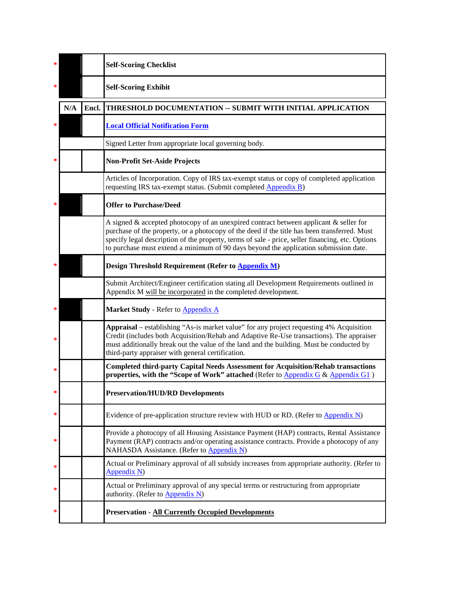| ∗ |     |       | <b>Self-Scoring Checklist</b>                                                                                                                                                                                                                                                                                                                                                           |
|---|-----|-------|-----------------------------------------------------------------------------------------------------------------------------------------------------------------------------------------------------------------------------------------------------------------------------------------------------------------------------------------------------------------------------------------|
| * |     |       | <b>Self-Scoring Exhibit</b>                                                                                                                                                                                                                                                                                                                                                             |
|   | N/A | Encl. | THRESHOLD DOCUMENTATION -- SUBMIT WITH INITIAL APPLICATION                                                                                                                                                                                                                                                                                                                              |
| * |     |       | <b>Local Official Notification Form</b>                                                                                                                                                                                                                                                                                                                                                 |
|   |     |       | Signed Letter from appropriate local governing body.                                                                                                                                                                                                                                                                                                                                    |
| ∗ |     |       | <b>Non-Profit Set-Aside Projects</b>                                                                                                                                                                                                                                                                                                                                                    |
|   |     |       | Articles of Incorporation. Copy of IRS tax-exempt status or copy of completed application<br>requesting IRS tax-exempt status. (Submit completed <b>Appendix B</b> )                                                                                                                                                                                                                    |
|   |     |       | <b>Offer to Purchase/Deed</b>                                                                                                                                                                                                                                                                                                                                                           |
|   |     |       | A signed $\&$ accepted photocopy of an unexpired contract between applicant $\&$ seller for<br>purchase of the property, or a photocopy of the deed if the title has been transferred. Must<br>specify legal description of the property, terms of sale - price, seller financing, etc. Options<br>to purchase must extend a minimum of 90 days beyond the application submission date. |
|   |     |       | Design Threshold Requirement (Refer to <b>Appendix M</b> )                                                                                                                                                                                                                                                                                                                              |
|   |     |       | Submit Architect/Engineer certification stating all Development Requirements outlined in<br>Appendix M will be incorporated in the completed development.                                                                                                                                                                                                                               |
| ∗ |     |       | Market Study - Refer to Appendix A                                                                                                                                                                                                                                                                                                                                                      |
| ∗ |     |       | Appraisal – establishing "As-is market value" for any project requesting 4% Acquisition<br>Credit (includes both Acquisition/Rehab and Adaptive Re-Use transactions). The appraiser<br>must additionally break out the value of the land and the building. Must be conducted by<br>third-party appraiser with general certification.                                                    |
| ∗ |     |       | <b>Completed third-party Capital Needs Assessment for Acquisition/Rehab transactions</b><br>properties, with the "Scope of Work" attached (Refer to Appendix G & Appendix G1)                                                                                                                                                                                                           |
| ∗ |     |       | <b>Preservation/HUD/RD Developments</b>                                                                                                                                                                                                                                                                                                                                                 |
| * |     |       | Evidence of pre-application structure review with HUD or RD. (Refer to Appendix N)                                                                                                                                                                                                                                                                                                      |
| ∗ |     |       | Provide a photocopy of all Housing Assistance Payment (HAP) contracts, Rental Assistance<br>Payment (RAP) contracts and/or operating assistance contracts. Provide a photocopy of any<br>NAHASDA Assistance. (Refer to Appendix N)                                                                                                                                                      |
| ∗ |     |       | Actual or Preliminary approval of all subsidy increases from appropriate authority. (Refer to<br>Appendix N)                                                                                                                                                                                                                                                                            |
| ∗ |     |       | Actual or Preliminary approval of any special terms or restructuring from appropriate<br>authority. (Refer to Appendix N)                                                                                                                                                                                                                                                               |
|   |     |       | <b>Preservation - All Currently Occupied Developments</b>                                                                                                                                                                                                                                                                                                                               |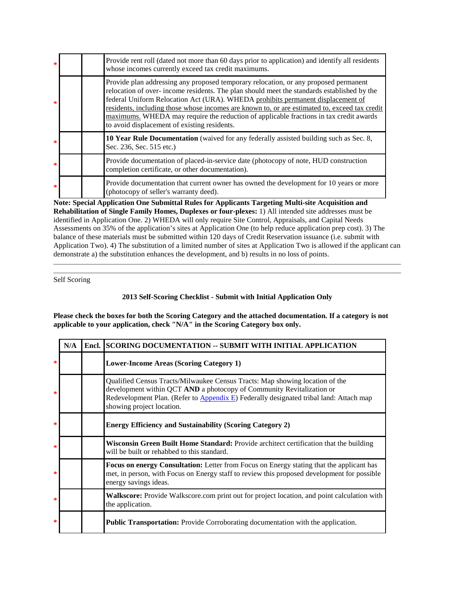| $\ast$       | Provide rent roll (dated not more than 60 days prior to application) and identify all residents<br>whose incomes currently exceed tax credit maximums.                                                                                                                                                                                                                                                                                                                                                           |
|--------------|------------------------------------------------------------------------------------------------------------------------------------------------------------------------------------------------------------------------------------------------------------------------------------------------------------------------------------------------------------------------------------------------------------------------------------------------------------------------------------------------------------------|
| $\mathbf{R}$ | Provide plan addressing any proposed temporary relocation, or any proposed permanent<br>relocation of over-income residents. The plan should meet the standards established by the<br>federal Uniform Relocation Act (URA). WHEDA prohibits permanent displacement of<br>residents, including those whose incomes are known to, or are estimated to, exceed tax credit<br>maximums. WHEDA may require the reduction of applicable fractions in tax credit awards<br>to avoid displacement of existing residents. |
| $\ast$       | 10 Year Rule Documentation (waived for any federally assisted building such as Sec. 8,<br>Sec. 236, Sec. 515 etc.)                                                                                                                                                                                                                                                                                                                                                                                               |
| $\ast$       | Provide documentation of placed-in-service date (photocopy of note, HUD construction<br>completion certificate, or other documentation).                                                                                                                                                                                                                                                                                                                                                                         |
| $\ast$       | Provide documentation that current owner has owned the development for 10 years or more<br>(photocopy of seller's warranty deed).                                                                                                                                                                                                                                                                                                                                                                                |

**Note: Special Application One Submittal Rules for Applicants Targeting Multi-site Acquisition and Rehabilitation of Single Family Homes, Duplexes or four-plexes:** 1) All intended site addresses must be identified in Application One. 2) WHEDA will only require Site Control, Appraisals, and Capital Needs Assessments on 35% of the application's sites at Application One (to help reduce application prep cost). 3) The balance of these materials must be submitted within 120 days of Credit Reservation issuance (i.e. submit with Application Two). 4) The substitution of a limited number of sites at Application Two is allowed if the applicant can demonstrate a) the substitution enhances the development, and b) results in no loss of points.

Self Scoring

# **2013 Self-Scoring Checklist - Submit with Initial Application Only**

**Please check the boxes for both the Scoring Category and the attached documentation. If a category is not applicable to your application, check "N/A" in the Scoring Category box only.**

|        | N/A | Encl. SCORING DOCUMENTATION -- SUBMIT WITH INITIAL APPLICATION                                                                                                                                                                                                               |
|--------|-----|------------------------------------------------------------------------------------------------------------------------------------------------------------------------------------------------------------------------------------------------------------------------------|
| $\ast$ |     | <b>Lower-Income Areas (Scoring Category 1)</b>                                                                                                                                                                                                                               |
| *      |     | Qualified Census Tracts/Milwaukee Census Tracts: Map showing location of the<br>development within QCT AND a photocopy of Community Revitalization or<br>Redevelopment Plan. (Refer to Appendix E) Federally designated tribal land: Attach map<br>showing project location. |
| *      |     | <b>Energy Efficiency and Sustainability (Scoring Category 2)</b>                                                                                                                                                                                                             |
| *      |     | Wisconsin Green Built Home Standard: Provide architect certification that the building<br>will be built or rehabbed to this standard.                                                                                                                                        |
| *      |     | <b>Focus on energy Consultation:</b> Letter from Focus on Energy stating that the applicant has<br>met, in person, with Focus on Energy staff to review this proposed development for possible<br>energy savings ideas.                                                      |
| ∗      |     | <b>Walkscore:</b> Provide Walkscore.com print out for project location, and point calculation with<br>the application.                                                                                                                                                       |
| $\ast$ |     | <b>Public Transportation:</b> Provide Corroborating documentation with the application.                                                                                                                                                                                      |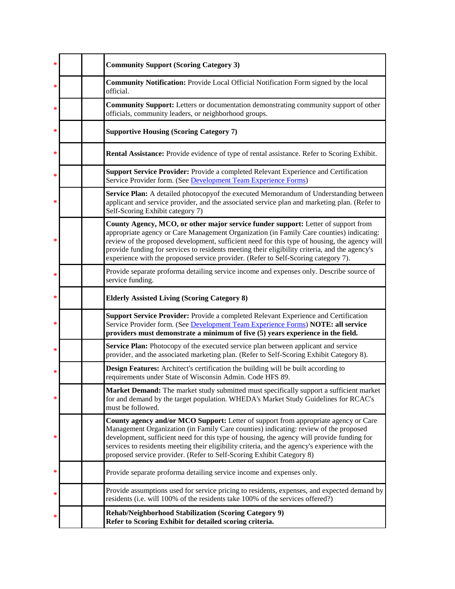| ∗ |  | <b>Community Support (Scoring Category 3)</b>                                                                                                                                                                                                                                                                                                                                                                                                                          |
|---|--|------------------------------------------------------------------------------------------------------------------------------------------------------------------------------------------------------------------------------------------------------------------------------------------------------------------------------------------------------------------------------------------------------------------------------------------------------------------------|
| ∗ |  | <b>Community Notification:</b> Provide Local Official Notification Form signed by the local<br>official.                                                                                                                                                                                                                                                                                                                                                               |
| ∗ |  | <b>Community Support:</b> Letters or documentation demonstrating community support of other<br>officials, community leaders, or neighborhood groups.                                                                                                                                                                                                                                                                                                                   |
| ∗ |  | <b>Supportive Housing (Scoring Category 7)</b>                                                                                                                                                                                                                                                                                                                                                                                                                         |
| ∗ |  | Rental Assistance: Provide evidence of type of rental assistance. Refer to Scoring Exhibit.                                                                                                                                                                                                                                                                                                                                                                            |
| ∗ |  | <b>Support Service Provider:</b> Provide a completed Relevant Experience and Certification<br>Service Provider form. (See Development Team Experience Forms)                                                                                                                                                                                                                                                                                                           |
| ∗ |  | Service Plan: A detailed photocopyof the executed Memorandum of Understanding between<br>applicant and service provider, and the associated service plan and marketing plan. (Refer to<br>Self-Scoring Exhibit category 7)                                                                                                                                                                                                                                             |
| ∗ |  | County Agency, MCO, or other major service funder support: Letter of support from<br>appropriate agency or Care Management Organization (in Family Care counties) indicating:<br>review of the proposed development, sufficient need for this type of housing, the agency will<br>provide funding for services to residents meeting their eligibility criteria, and the agency's<br>experience with the proposed service provider. (Refer to Self-Scoring category 7). |
| ∗ |  | Provide separate proforma detailing service income and expenses only. Describe source of<br>service funding.                                                                                                                                                                                                                                                                                                                                                           |
| ∗ |  | <b>Elderly Assisted Living (Scoring Category 8)</b>                                                                                                                                                                                                                                                                                                                                                                                                                    |
| ∗ |  | <b>Support Service Provider:</b> Provide a completed Relevant Experience and Certification<br>Service Provider form. (See Development Team Experience Forms) NOTE: all service<br>providers must demonstrate a minimum of five (5) years experience in the field.                                                                                                                                                                                                      |
| ∗ |  | Service Plan: Photocopy of the executed service plan between applicant and service<br>provider, and the associated marketing plan. (Refer to Self-Scoring Exhibit Category 8).                                                                                                                                                                                                                                                                                         |
| ∗ |  | Design Features: Architect's certification the building will be built according to<br>requirements under State of Wisconsin Admin. Code HFS 89.                                                                                                                                                                                                                                                                                                                        |
| ∗ |  | <b>Market Demand:</b> The market study submitted must specifically support a sufficient market<br>for and demand by the target population. WHEDA's Market Study Guidelines for RCAC's<br>must be followed.                                                                                                                                                                                                                                                             |
|   |  | County agency and/or MCO Support: Letter of support from appropriate agency or Care<br>Management Organization (in Family Care counties) indicating: review of the proposed<br>development, sufficient need for this type of housing, the agency will provide funding for<br>services to residents meeting their eligibility criteria, and the agency's experience with the<br>proposed service provider. (Refer to Self-Scoring Exhibit Category 8)                   |
| ∗ |  | Provide separate proforma detailing service income and expenses only.                                                                                                                                                                                                                                                                                                                                                                                                  |
| ∗ |  | Provide assumptions used for service pricing to residents, expenses, and expected demand by<br>residents (i.e. will 100% of the residents take 100% of the services offered?)                                                                                                                                                                                                                                                                                          |
|   |  | Rehab/Neighborhood Stabilization (Scoring Category 9)<br>Refer to Scoring Exhibit for detailed scoring criteria.                                                                                                                                                                                                                                                                                                                                                       |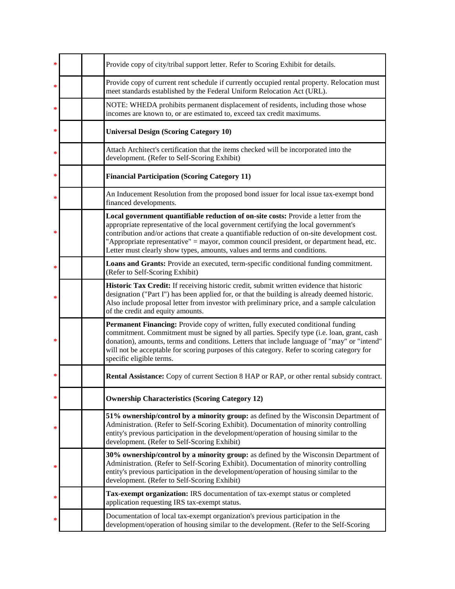| ∗ | Provide copy of city/tribal support letter. Refer to Scoring Exhibit for details.                                                                                                                                                                                                                                                                                                                                                                     |
|---|-------------------------------------------------------------------------------------------------------------------------------------------------------------------------------------------------------------------------------------------------------------------------------------------------------------------------------------------------------------------------------------------------------------------------------------------------------|
| ∗ | Provide copy of current rent schedule if currently occupied rental property. Relocation must<br>meet standards established by the Federal Uniform Relocation Act (URL).                                                                                                                                                                                                                                                                               |
| ∗ | NOTE: WHEDA prohibits permanent displacement of residents, including those whose<br>incomes are known to, or are estimated to, exceed tax credit maximums.                                                                                                                                                                                                                                                                                            |
| ∗ | <b>Universal Design (Scoring Category 10)</b>                                                                                                                                                                                                                                                                                                                                                                                                         |
| ∗ | Attach Architect's certification that the items checked will be incorporated into the<br>development. (Refer to Self-Scoring Exhibit)                                                                                                                                                                                                                                                                                                                 |
| ∗ | <b>Financial Participation (Scoring Category 11)</b>                                                                                                                                                                                                                                                                                                                                                                                                  |
| ∗ | An Inducement Resolution from the proposed bond issuer for local issue tax-exempt bond<br>financed developments.                                                                                                                                                                                                                                                                                                                                      |
| ∗ | Local government quantifiable reduction of on-site costs: Provide a letter from the<br>appropriate representative of the local government certifying the local government's<br>contribution and/or actions that create a quantifiable reduction of on-site development cost.<br>"Appropriate representative" = mayor, common council president, or department head, etc.<br>Letter must clearly show types, amounts, values and terms and conditions. |
| * | Loans and Grants: Provide an executed, term-specific conditional funding commitment.<br>(Refer to Self-Scoring Exhibit)                                                                                                                                                                                                                                                                                                                               |
| ∗ | Historic Tax Credit: If receiving historic credit, submit written evidence that historic<br>designation ("Part I") has been applied for, or that the building is already deemed historic.<br>Also include proposal letter from investor with preliminary price, and a sample calculation<br>of the credit and equity amounts.                                                                                                                         |
| * | Permanent Financing: Provide copy of written, fully executed conditional funding<br>commitment. Commitment must be signed by all parties. Specify type (i.e. loan, grant, cash<br>donation), amounts, terms and conditions. Letters that include language of "may" or "intend"<br>will not be acceptable for scoring purposes of this category. Refer to scoring category for<br>specific eligible terms.                                             |
| ∗ | Rental Assistance: Copy of current Section 8 HAP or RAP, or other rental subsidy contract.                                                                                                                                                                                                                                                                                                                                                            |
| ∗ | <b>Ownership Characteristics (Scoring Category 12)</b>                                                                                                                                                                                                                                                                                                                                                                                                |
| ∗ | 51% ownership/control by a minority group: as defined by the Wisconsin Department of<br>Administration. (Refer to Self-Scoring Exhibit). Documentation of minority controlling<br>entity's previous participation in the development/operation of housing similar to the<br>development. (Refer to Self-Scoring Exhibit)                                                                                                                              |
| ∗ | 30% ownership/control by a minority group: as defined by the Wisconsin Department of<br>Administration. (Refer to Self-Scoring Exhibit). Documentation of minority controlling<br>entity's previous participation in the development/operation of housing similar to the<br>development. (Refer to Self-Scoring Exhibit)                                                                                                                              |
| ∗ | Tax-exempt organization: IRS documentation of tax-exempt status or completed<br>application requesting IRS tax-exempt status.                                                                                                                                                                                                                                                                                                                         |
|   | Documentation of local tax-exempt organization's previous participation in the<br>development/operation of housing similar to the development. (Refer to the Self-Scoring                                                                                                                                                                                                                                                                             |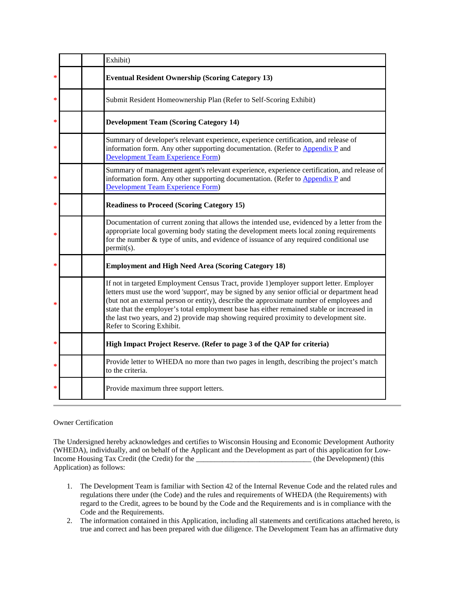|   | Exhibit)                                                                                                                                                                                                                                                                                                                                                                                                                                                                                                  |
|---|-----------------------------------------------------------------------------------------------------------------------------------------------------------------------------------------------------------------------------------------------------------------------------------------------------------------------------------------------------------------------------------------------------------------------------------------------------------------------------------------------------------|
| ∗ | <b>Eventual Resident Ownership (Scoring Category 13)</b>                                                                                                                                                                                                                                                                                                                                                                                                                                                  |
| ∗ | Submit Resident Homeownership Plan (Refer to Self-Scoring Exhibit)                                                                                                                                                                                                                                                                                                                                                                                                                                        |
| ∗ | <b>Development Team (Scoring Category 14)</b>                                                                                                                                                                                                                                                                                                                                                                                                                                                             |
| * | Summary of developer's relevant experience, experience certification, and release of<br>information form. Any other supporting documentation. (Refer to Appendix P and<br><b>Development Team Experience Form)</b>                                                                                                                                                                                                                                                                                        |
| ∗ | Summary of management agent's relevant experience, experience certification, and release of<br>information form. Any other supporting documentation. (Refer to Appendix P and<br><b>Development Team Experience Form)</b>                                                                                                                                                                                                                                                                                 |
| ∗ | <b>Readiness to Proceed (Scoring Category 15)</b>                                                                                                                                                                                                                                                                                                                                                                                                                                                         |
| ∗ | Documentation of current zoning that allows the intended use, evidenced by a letter from the<br>appropriate local governing body stating the development meets local zoning requirements<br>for the number $\&$ type of units, and evidence of issuance of any required conditional use<br>$permit(s)$ .                                                                                                                                                                                                  |
| * | <b>Employment and High Need Area (Scoring Category 18)</b>                                                                                                                                                                                                                                                                                                                                                                                                                                                |
| ∗ | If not in targeted Employment Census Tract, provide 1) employer support letter. Employer<br>letters must use the word 'support', may be signed by any senior official or department head<br>(but not an external person or entity), describe the approximate number of employees and<br>state that the employer's total employment base has either remained stable or increased in<br>the last two years, and 2) provide map showing required proximity to development site.<br>Refer to Scoring Exhibit. |
| ∗ | High Impact Project Reserve. (Refer to page 3 of the QAP for criteria)                                                                                                                                                                                                                                                                                                                                                                                                                                    |
| * | Provide letter to WHEDA no more than two pages in length, describing the project's match<br>to the criteria.                                                                                                                                                                                                                                                                                                                                                                                              |
| ∗ | Provide maximum three support letters.                                                                                                                                                                                                                                                                                                                                                                                                                                                                    |

# Owner Certification

The Undersigned hereby acknowledges and certifies to Wisconsin Housing and Economic Development Authority (WHEDA), individually, and on behalf of the Applicant and the Development as part of this application for Low-Income Housing Tax Credit (the Credit) for the \_\_\_\_\_\_\_\_\_\_\_\_\_\_\_\_\_\_\_\_\_\_\_\_\_\_\_\_\_\_\_\_\_ (the Development) (this Application) as follows:

- 1. The Development Team is familiar with Section 42 of the Internal Revenue Code and the related rules and regulations there under (the Code) and the rules and requirements of WHEDA (the Requirements) with regard to the Credit, agrees to be bound by the Code and the Requirements and is in compliance with the Code and the Requirements.
- 2. The information contained in this Application, including all statements and certifications attached hereto, is true and correct and has been prepared with due diligence. The Development Team has an affirmative duty